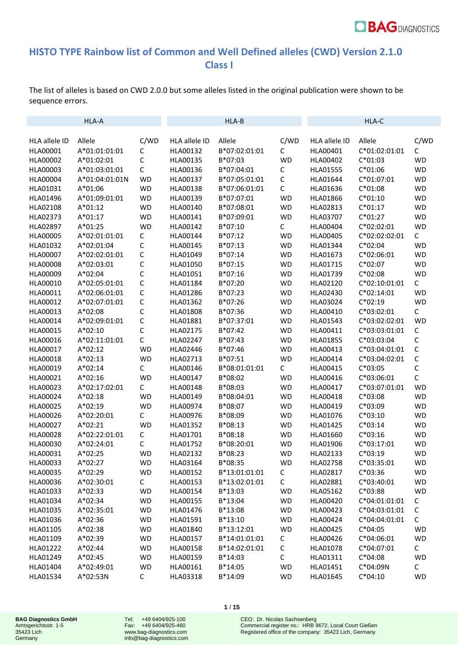

## **HISTO TYPE Rainbow list of Common and Well Defined alleles (CWD) Version 2.1.0 Class I**

The list of alleles is based on CWD 2.0.0 but some alleles listed in the original publication were shown to be sequence errors.

|                 | HLA-A          |                |               | HLA-B         |              |               | HLA-C         |              |
|-----------------|----------------|----------------|---------------|---------------|--------------|---------------|---------------|--------------|
| HLA allele ID   | Allele         | C/WD           | HLA allele ID | Allele        | C/WD         | HLA allele ID | Allele        | C/WD         |
| HLA00001        | A*01:01:01:01  | $\mathsf C$    | HLA00132      | B*07:02:01:01 | $\mathsf{C}$ | HLA00401      | C*01:02:01:01 | $\mathsf C$  |
| HLA00002        | A*01:02:01     | $\mathsf C$    | HLA00135      | B*07:03       | <b>WD</b>    | HLA00402      | $C*01:03$     | <b>WD</b>    |
| HLA00003        | A*01:03:01:01  | $\mathsf C$    | HLA00136      | B*07:04:01    | $\mathsf C$  | HLA01555      | $C*01:06$     | WD           |
| <b>HLA00004</b> | A*01:04:01:01N | <b>WD</b>      | HLA00137      | B*07:05:01:01 | $\mathsf C$  | HLA01644      | $C*01:07:01$  | WD           |
| HLA01031        | A*01:06        | <b>WD</b>      | HLA00138      | B*07:06:01:01 | $\mathsf C$  | HLA01636      | $C*01:08$     | WD           |
| HLA01496        | A*01:09:01:01  | <b>WD</b>      | HLA00139      | B*07:07:01    | <b>WD</b>    | HLA01866      | $C*01:10$     | WD           |
| HLA02108        | A*01:12        | <b>WD</b>      | HLA00140      | B*07:08:01    | <b>WD</b>    | HLA02813      | $C*01:17$     | <b>WD</b>    |
| HLA02373        | A*01:17        | <b>WD</b>      | HLA00141      | B*07:09:01    | <b>WD</b>    | HLA03707      | $C*01:27$     | <b>WD</b>    |
| HLA02897        | A*01:25        | <b>WD</b>      | HLA00142      | B*07:10       | $\mathsf C$  | HLA00404      | $C*02:02:01$  | <b>WD</b>    |
| HLA00005        | A*02:01:01:01  | С              | HLA00144      | B*07:12       | <b>WD</b>    | HLA00405      | C*02:02:02:01 | C            |
| HLA01032        | A*02:01:04     | C              | HLA00145      | B*07:13       | <b>WD</b>    | HLA01344      | $C*02:04$     | <b>WD</b>    |
| HLA00007        | A*02:02:01:01  | C              | HLA01049      | B*07:14       | <b>WD</b>    | HLA01673      | $C*02:06:01$  | WD           |
| HLA00008        | A*02:03:01     | C              | HLA01050      | B*07:15       | <b>WD</b>    | HLA01715      | $C*02:07$     | <b>WD</b>    |
| HLA00009        | A*02:04        | C              | HLA01051      | B*07:16       | <b>WD</b>    | HLA01739      | $C*02:08$     | <b>WD</b>    |
| HLA00010        | A*02:05:01:01  | C              | HLA01184      | B*07:20       | <b>WD</b>    | HLA02120      | C*02:10:01:01 | C            |
| HLA00011        | A*02:06:01:01  | C              | HLA01286      | B*07:23       | <b>WD</b>    | HLA02430      | $C*02:14:01$  | <b>WD</b>    |
| HLA00012        | A*02:07:01:01  | C              | HLA01362      | B*07:26       | <b>WD</b>    | HLA03024      | $C*02:19$     | <b>WD</b>    |
| HLA00013        | A*02:08        | C              | HLA01808      | B*07:36       | <b>WD</b>    | HLA00410      | $C*03:02:01$  | C            |
| HLA00014        | A*02:09:01:01  | C              | HLA01881      | B*07:37:01    | <b>WD</b>    | HLA01543      | C*03:02:02:01 | <b>WD</b>    |
| HLA00015        | $A*02:10$      | C              | HLA02175      | B*07:42       | <b>WD</b>    | HLA00411      | C*03:03:01:01 | С            |
| HLA00016        | A*02:11:01:01  | $\mathsf C$    | HLA02247      | B*07:43       | <b>WD</b>    | HLA01855      | $C*03:03:04$  | C            |
| HLA00017        | A*02:12        | <b>WD</b>      | HLA02446      | B*07:46       | <b>WD</b>    | HLA00413      | C*03:04:01:01 | $\mathsf C$  |
| HLA00018        | $A*02:13$      | <b>WD</b>      | HLA02713      | B*07:51       | <b>WD</b>    | HLA00414      | C*03:04:02:01 | C            |
| HLA00019        | $A*02:14$      | C              | HLA00146      | B*08:01:01:01 | $\mathsf C$  | HLA00415      | $C*03:05$     | C            |
| HLA00021        | $A*02:16$      | <b>WD</b>      | HLA00147      | B*08:02       | <b>WD</b>    | HLA00416      | $C*03:06:01$  | $\mathsf C$  |
| HLA00023        | A*02:17:02:01  | C              | HLA00148      | B*08:03       | <b>WD</b>    | HLA00417      | C*03:07:01:01 | <b>WD</b>    |
| HLA00024        | A*02:18        | <b>WD</b>      | HLA00149      | B*08:04:01    | <b>WD</b>    | HLA00418      | $C*03:08$     | <b>WD</b>    |
| HLA00025        | A*02:19        | <b>WD</b>      | HLA00974      | B*08:07       | <b>WD</b>    | HLA00419      | $C*03:09$     | <b>WD</b>    |
| HLA00026        | A*02:20:01     | C              | HLA00976      | B*08:09       | <b>WD</b>    | HLA01076      | $C*03:10$     | <b>WD</b>    |
| HLA00027        | $A*02:21$      | <b>WD</b>      | HLA01352      | B*08:13       | <b>WD</b>    | HLA01425      | $C*03:14$     | <b>WD</b>    |
| HLA00028        | A*02:22:01:01  | С              | HLA01701      | B*08:18       | <b>WD</b>    | HLA01660      | $C*03:16$     | <b>WD</b>    |
| HLA00030        | A*02:24:01     | С              | HLA01752      | B*08:20:01    | <b>WD</b>    | HLA01906      | $C*03:17:01$  | <b>WD</b>    |
| HLA00031        | A*02:25        | <b>WD</b>      | HLA02132      | B*08:23       | <b>WD</b>    | HLA02133      | $C*03:19$     | <b>WD</b>    |
| HLA00033        | A*02:27        | <b>WD</b>      | HLA03164      | B*08:35       | <b>WD</b>    | HLA02758      | $C*03:35:01$  | <b>WD</b>    |
| HLA00035        | A*02:29        | <b>WD</b>      | HLA00152      | B*13:01:01:01 | C            | HLA02817      | $C*03:36$     | <b>WD</b>    |
| HLA00036        | A*02:30:01     | $\mathsf{C}^-$ | HLA00153      | B*13:02:01:01 | $\mathsf{C}$ | HLA02881      | $C*03:40:01$  | <b>WD</b>    |
| HLA01033        | $A*02:33$      | <b>WD</b>      | HLA00154      | $B*13:03$     | WD           | HLA05162      | $C*03:88$     | <b>WD</b>    |
| HLA01034        | A*02:34        | <b>WD</b>      | HLA00155      | B*13:04       | <b>WD</b>    | HLA00420      | C*04:01:01:01 | C            |
| HLA01035        | A*02:35:01     | <b>WD</b>      | HLA01476      | $B*13:08$     | <b>WD</b>    | HLA00423      | C*04:03:01:01 | С            |
| HLA01036        | A*02:36        | <b>WD</b>      | HLA01591      | $B*13:10$     | <b>WD</b>    | HLA00424      | C*04:04:01:01 | C            |
| HLA01105        | A*02:38        | <b>WD</b>      | HLA01840      | B*13:12:01    | <b>WD</b>    | HLA00425      | $C*04:05$     | <b>WD</b>    |
| HLA01109        | A*02:39        | <b>WD</b>      | HLA00157      | B*14:01:01:01 | C            | HLA00426      | $C*04:06:01$  | <b>WD</b>    |
| HLA01222        | $A*02:44$      | <b>WD</b>      | HLA00158      | B*14:02:01:01 | C            | HLA01078      | $C*04:07:01$  | $\mathsf{C}$ |
| HLA01249        | A*02:45        | <b>WD</b>      | HLA00159      | B*14:03       | C            | HLA01311      | $C*04:08$     | <b>WD</b>    |
| HLA01404        | A*02:49:01     | <b>WD</b>      | HLA00161      | B*14:05       | <b>WD</b>    | HLA01451      | $C*04:09N$    | $\mathsf{C}$ |
| HLA01534        | A*02:53N       | $\mathsf{C}$   | HLA03318      | B*14:09       | <b>WD</b>    | HLA01645      | $C*04:10$     | <b>WD</b>    |

Tel: +49 6404/925-100 Fax: +49 6404/925-460 www.bag-diagnostics.com info@bag-diagnostics.com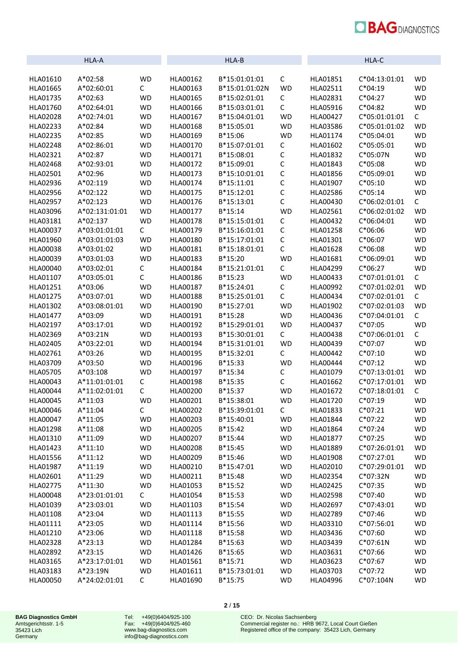

|                 | HLA-A          |             |          | HLA-B          |             |          | <b>HLA-C</b>  |              |
|-----------------|----------------|-------------|----------|----------------|-------------|----------|---------------|--------------|
|                 |                |             |          |                |             |          |               |              |
| HLA01610        | A*02:58        | <b>WD</b>   | HLA00162 | B*15:01:01:01  | $\mathsf C$ | HLA01851 | C*04:13:01:01 | <b>WD</b>    |
| HLA01665        | A*02:60:01     | С           | HLA00163 | B*15:01:01:02N | <b>WD</b>   | HLA02511 | $C*04:19$     | <b>WD</b>    |
| HLA01735        | $A*02:63$      | <b>WD</b>   | HLA00165 | B*15:02:01:01  | $\mathsf C$ | HLA02831 | $C*04:27$     | <b>WD</b>    |
| HLA01760        | A*02:64:01     | <b>WD</b>   | HLA00166 | B*15:03:01:01  | С           | HLA05916 | $C*04:82$     | <b>WD</b>    |
| HLA02028        | A*02:74:01     | <b>WD</b>   | HLA00167 | B*15:04:01:01  | <b>WD</b>   | HLA00427 | C*05:01:01:01 | C            |
| HLA02233        | A*02:84        | <b>WD</b>   | HLA00168 | B*15:05:01     | <b>WD</b>   | HLA03586 | C*05:01:01:02 | <b>WD</b>    |
| HLA02235        | A*02:85        | <b>WD</b>   | HLA00169 | B*15:06        | <b>WD</b>   | HLA01174 | $C*05:04:01$  | <b>WD</b>    |
| HLA02248        | A*02:86:01     | <b>WD</b>   | HLA00170 | B*15:07:01:01  | С           | HLA01602 | C*05:05:01    | <b>WD</b>    |
| HLA02321        | A*02:87        | <b>WD</b>   | HLA00171 | B*15:08:01     | C           | HLA01832 | $C*05:07N$    | <b>WD</b>    |
| HLA02468        | A*02:93:01     | <b>WD</b>   | HLA00172 | B*15:09:01     | C           | HLA01843 | $C*05:08$     | <b>WD</b>    |
| HLA02501        | A*02:96        | <b>WD</b>   | HLA00173 | B*15:10:01:01  | C           | HLA01856 | $C*05:09:01$  | <b>WD</b>    |
| HLA02936        | A*02:119       | <b>WD</b>   | HLA00174 | B*15:11:01     | C           | HLA01907 | $C*05:10$     | <b>WD</b>    |
| HLA02956        | A*02:122       | <b>WD</b>   | HLA00175 | B*15:12:01     | С           | HLA02586 | $C*05:14$     | <b>WD</b>    |
| HLA02957        | A*02:123       | <b>WD</b>   | HLA00176 | B*15:13:01     | C           | HLA00430 | C*06:02:01:01 | $\mathsf{C}$ |
| HLA03096        | A*02:131:01:01 | <b>WD</b>   | HLA00177 | $B*15:14$      | <b>WD</b>   | HLA02561 | C*06:02:01:02 | <b>WD</b>    |
| HLA03181        | A*02:137       | <b>WD</b>   | HLA00178 | B*15:15:01:01  | $\mathsf C$ | HLA00432 | $C*06:04:01$  | <b>WD</b>    |
| HLA00037        | A*03:01:01:01  | $\mathsf C$ | HLA00179 | B*15:16:01:01  | С           | HLA01258 | $C*06:06$     | <b>WD</b>    |
| HLA01960        | A*03:01:01:03  | <b>WD</b>   | HLA00180 | B*15:17:01:01  | С           | HLA01301 | $C*06:07$     | <b>WD</b>    |
| HLA00038        | A*03:01:02     | <b>WD</b>   | HLA00181 | B*15:18:01:01  | C           | HLA01628 | $C*06:08$     | <b>WD</b>    |
| HLA00039        | A*03:01:03     | <b>WD</b>   | HLA00183 | B*15:20        | <b>WD</b>   | HLA01681 | C*06:09:01    | <b>WD</b>    |
| HLA00040        | A*03:02:01     | C           | HLA00184 | B*15:21:01:01  | С           | HLA04299 | $C*06:27$     | <b>WD</b>    |
| HLA01107        | A*03:05:01     | C           | HLA00186 | $B*15:23$      | <b>WD</b>   | HLA00433 | C*07:01:01:01 | С            |
| HLA01251        | A*03:06        | <b>WD</b>   | HLA00187 | B*15:24:01     | С           | HLA00992 | C*07:01:02:01 | <b>WD</b>    |
| HLA01275        | A*03:07:01     | <b>WD</b>   | HLA00188 | B*15:25:01:01  | C           | HLA00434 | C*07:02:01:01 | С            |
| HLA01302        | A*03:08:01:01  | <b>WD</b>   | HLA00190 | B*15:27:01     | <b>WD</b>   | HLA01902 | C*07:02:01:03 | <b>WD</b>    |
| HLA01477        | A*03:09        | <b>WD</b>   | HLA00191 | B*15:28        | <b>WD</b>   | HLA00436 | C*07:04:01:01 | C            |
| HLA02197        | A*03:17:01     | <b>WD</b>   | HLA00192 | B*15:29:01:01  | <b>WD</b>   | HLA00437 | $C*07:05$     | <b>WD</b>    |
| HLA02369        | A*03:21N       | <b>WD</b>   | HLA00193 | B*15:30:01:01  | C           | HLA00438 | C*07:06:01:01 | C            |
| HLA02405        | A*03:22:01     | <b>WD</b>   | HLA00194 | B*15:31:01:01  | <b>WD</b>   | HLA00439 | $C*07:07$     | <b>WD</b>    |
| HLA02761        | $A*03:26$      | <b>WD</b>   | HLA00195 | B*15:32:01     | C           | HLA00442 | $C*07:10$     | <b>WD</b>    |
| HLA03709        | A*03:50        | <b>WD</b>   | HLA00196 | B*15:33        | <b>WD</b>   | HLA00444 | $C*07:12$     | <b>WD</b>    |
| <b>HLA05705</b> | A*03:108       | <b>WD</b>   | HLA00197 | B*15:34        | С           | HLA01079 | C*07:13:01:01 | <b>WD</b>    |
| HLA00043        | A*11:01:01:01  | С           | HLA00198 | B*15:35        | С           | HLA01662 | C*07:17:01:01 | <b>WD</b>    |
| HLA00044        | A*11:02:01:01  | С           | HLA00200 | B*15:37        | <b>WD</b>   | HLA01672 | C*07:18:01:01 | C            |
| HLA00045        | A*11:03        | <b>WD</b>   | HLA00201 | B*15:38:01     | <b>WD</b>   | HLA01720 | $C*07:19$     | <b>WD</b>    |
| <b>HLA00046</b> | $A*11:04$      | C           | HLA00202 | B*15:39:01:01  | $\mathsf C$ | HLA01833 | $C*07:21$     | WD           |
| HLA00047        | A*11:05        | <b>WD</b>   | HLA00203 | B*15:40:01     | <b>WD</b>   | HLA01844 | $C*07:22$     | <b>WD</b>    |
| HLA01298        | A*11:08        | <b>WD</b>   | HLA00205 | B*15:42        | WD          | HLA01864 | $C*07:24$     | WD           |
| HLA01310        | A*11:09        | <b>WD</b>   | HLA00207 | B*15:44        | <b>WD</b>   | HLA01877 | $C*07:25$     | <b>WD</b>    |
| HLA01423        | $A*11:10$      | <b>WD</b>   | HLA00208 | B*15:45        | <b>WD</b>   | HLA01889 | C*07:26:01:01 | <b>WD</b>    |
| HLA01556        | $A*11:12$      | <b>WD</b>   | HLA00209 | B*15:46        | <b>WD</b>   | HLA01908 | $C*07:27:01$  | <b>WD</b>    |
| HLA01987        | $A*11:19$      | <b>WD</b>   | HLA00210 | B*15:47:01     | <b>WD</b>   | HLA02010 | C*07:29:01:01 | <b>WD</b>    |
| HLA02601        | A*11:29        | WD          | HLA00211 | B*15:48        | <b>WD</b>   | HLA02354 | $C*07:32N$    | <b>WD</b>    |
| HLA02775        | A*11:30        | WD          | HLA01053 | B*15:52        | <b>WD</b>   | HLA02425 | $C*07:35$     | <b>WD</b>    |
| HLA00048        | A*23:01:01:01  | С           | HLA01054 | B*15:53        | <b>WD</b>   | HLA02598 | $C*07:40$     | <b>WD</b>    |
| HLA01039        | A*23:03:01     | <b>WD</b>   | HLA01103 | B*15:54        | <b>WD</b>   | HLA02697 | $C*07:43:01$  | WD           |
| HLA01108        | $A*23:04$      | <b>WD</b>   | HLA01113 | B*15:55        | <b>WD</b>   | HLA02789 | $C*07:46$     | WD           |
| HLA01111        | A*23:05        | <b>WD</b>   | HLA01114 | B*15:56        | <b>WD</b>   | HLA03310 | $C*07:56:01$  | <b>WD</b>    |
| HLA01210        | A*23:06        | <b>WD</b>   | HLA01118 | B*15:58        | <b>WD</b>   | HLA03436 | $C*07:60$     | WD           |
| HLA02328        | $A*23:13$      | WD          | HLA01284 | $B*15:63$      | <b>WD</b>   | HLA03439 | $C*07:61N$    | WD           |
| HLA02892        | $A*23:15$      | <b>WD</b>   | HLA01426 | $B*15:65$      | <b>WD</b>   | HLA03631 | $C*07:66$     | <b>WD</b>    |
| HLA03165        | A*23:17:01:01  | <b>WD</b>   | HLA01561 | $B*15:71$      | <b>WD</b>   | HLA03623 | $C*07:67$     | <b>WD</b>    |
| HLA03183        | A*23:19N       | WD          | HLA01611 | B*15:73:01:01  | <b>WD</b>   | HLA03703 | $C*07:72$     | <b>WD</b>    |
| HLA00050        | A*24:02:01:01  | C           | HLA01690 | B*15:75        | <b>WD</b>   | HLA04996 | C*07:104N     | <b>WD</b>    |
|                 |                |             |          |                |             |          |               |              |

Tel: +49(0)6404/925-100 Fax: +49(0)6404/925-460 [www.bag-diagnostics.com](http://www.bag-diagnostics.com/) [info@bag-diagnostics.com](mailto:info@bag-diagnostics.com)

**2** / **15**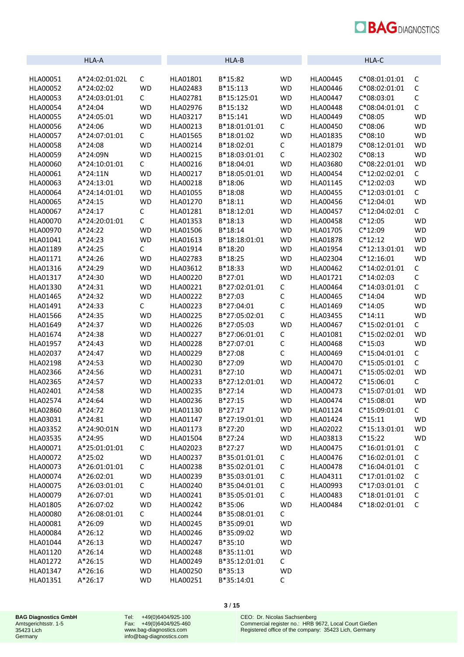

|                 | HLA-A          |           |          | HLA-B         |             |                 | HLA-C           |             |
|-----------------|----------------|-----------|----------|---------------|-------------|-----------------|-----------------|-------------|
| HLA00051        | A*24:02:01:02L | C         | HLA01801 | B*15:82       | <b>WD</b>   | HLA00445        | C*08:01:01:01   | $\mathsf C$ |
| HLA00052        | A*24:02:02     | <b>WD</b> | HLA02483 | B*15:113      | <b>WD</b>   | HLA00446        | C*08:02:01:01   | $\mathsf C$ |
| HLA00053        | A*24:03:01:01  | С         | HLA02781 | B*15:125:01   | <b>WD</b>   | HLA00447        | $C*08:03:01$    | С           |
| HLA00054        | A*24:04        | <b>WD</b> | HLA02976 | B*15:132      | <b>WD</b>   | <b>HLA00448</b> | C*08:04:01:01   | $\mathsf C$ |
| HLA00055        | A*24:05:01     | <b>WD</b> | HLA03217 | B*15:141      | <b>WD</b>   | HLA00449        | $C*08:05$       | <b>WD</b>   |
| <b>HLA00056</b> | A*24:06        | <b>WD</b> | HLA00213 | B*18:01:01:01 | $\mathsf C$ | HLA00450        | $C*08:06$       | <b>WD</b>   |
| HLA00057        | A*24:07:01:01  | С         | HLA01565 | B*18:01:02    | <b>WD</b>   | HLA01835        | $C*08:10$       | <b>WD</b>   |
| <b>HLA00058</b> | A*24:08        | <b>WD</b> | HLA00214 | B*18:02:01    | $\mathsf C$ | HLA01879        | C*08:12:01:01   | <b>WD</b>   |
| HLA00059        | A*24:09N       | <b>WD</b> | HLA00215 | B*18:03:01:01 | C           | HLA02302        | $C*08:13$       | <b>WD</b>   |
| HLA00060        | A*24:10:01:01  | С         | HLA00216 | B*18:04:01    | <b>WD</b>   | HLA03680        | C*08:22:01:01   | <b>WD</b>   |
| HLA00061        | A*24:11N       | <b>WD</b> | HLA00217 | B*18:05:01:01 | <b>WD</b>   | HLA00454        | C*12:02:02:01   | C           |
| HLA00063        | A*24:13:01     | <b>WD</b> | HLA00218 | B*18:06       | <b>WD</b>   | HLA01145        | $C*12:02:03$    | <b>WD</b>   |
| HLA00064        | A*24:14:01:01  | <b>WD</b> | HLA01055 | B*18:08       | <b>WD</b>   | <b>HLA00455</b> | C*12:03:01:01   | C           |
| HLA00065        | $A*24:15$      | <b>WD</b> | HLA01270 | $B*18:11$     | <b>WD</b>   | HLA00456        | $C*12:04:01$    | <b>WD</b>   |
| HLA00067        | A*24:17        | C         | HLA01281 | B*18:12:01    | <b>WD</b>   | HLA00457        | C*12:04:02:01   | C           |
| HLA00070        | A*24:20:01:01  | C         | HLA01353 | $B*18:13$     | <b>WD</b>   | HLA00458        | $C*12:05$       | <b>WD</b>   |
| HLA00970        | A*24:22        | <b>WD</b> | HLA01506 | $B*18:14$     | <b>WD</b>   | HLA01705        | $C*12:09$       | <b>WD</b>   |
| HLA01041        | A*24:23        | <b>WD</b> | HLA01613 | B*18:18:01:01 | <b>WD</b>   | <b>HLA01878</b> | $C*12:12$       | <b>WD</b>   |
| HLA01189        | A*24:25        | С         | HLA01914 | B*18:20       | <b>WD</b>   | HLA01954        | $C*12:13:01:01$ | <b>WD</b>   |
| HLA01171        | A*24:26        | <b>WD</b> | HLA02783 | $B*18:25$     | <b>WD</b>   | HLA02304        | $C*12:16:01$    | <b>WD</b>   |
| HLA01316        | A*24:29        | <b>WD</b> | HLA03612 | B*18:33       | <b>WD</b>   | HLA00462        | C*14:02:01:01   | С           |
| HLA01317        | A*24:30        | <b>WD</b> | HLA00220 | $B*27:01$     | <b>WD</b>   | HLA01721        | $C*14:02:03$    | $\mathsf C$ |
| HLA01330        | A*24:31        | <b>WD</b> | HLA00221 | B*27:02:01:01 | С           | HLA00464        | C*14:03:01:01   | $\mathsf C$ |
| HLA01465        | A*24:32        | <b>WD</b> | HLA00222 | B*27:03       | $\mathsf C$ | HLA00465        | $C*14:04$       | <b>WD</b>   |
| HLA01491        | A*24:33        | С         | HLA00223 | B*27:04:01    | $\mathsf C$ | HLA01469        | $C*14:05$       | <b>WD</b>   |
| HLA01566        | A*24:35        | <b>WD</b> | HLA00225 | B*27:05:02:01 | C           | HLA03455        | $C*14:11$       | <b>WD</b>   |
| HLA01649        | A*24:37        | <b>WD</b> | HLA00226 | B*27:05:03    | <b>WD</b>   | HLA00467        | C*15:02:01:01   | C           |
| HLA01674        | A*24:38        | <b>WD</b> | HLA00227 | B*27:06:01:01 | $\mathsf C$ | HLA01081        | C*15:02:02:01   | <b>WD</b>   |
| HLA01957        | A*24:43        | <b>WD</b> | HLA00228 | B*27:07:01    | С           | HLA00468        | $C*15:03$       | <b>WD</b>   |
| HLA02037        | A*24:47        | <b>WD</b> | HLA00229 | B*27:08       | $\mathsf C$ | HLA00469        | C*15:04:01:01   | С           |
| HLA02198        | A*24:53        | <b>WD</b> | HLA00230 | B*27:09       | <b>WD</b>   | HLA00470        | C*15:05:01:01   | С           |
| HLA02366        | A*24:56        | WD        | HLA00231 | $B*27:10$     | <b>WD</b>   | HLA00471        | C*15:05:02:01   | <b>WD</b>   |
| HLA02365        | A*24:57        | <b>WD</b> | HLA00233 | B*27:12:01:01 | <b>WD</b>   | HLA00472        | $C*15:06:01$    | C           |
| HLA02401        | A*24:58        | <b>WD</b> | HLA00235 | $B*27:14$     | <b>WD</b>   | HLA00473        | C*15:07:01:01   | <b>WD</b>   |
| HLA02574        | A*24:64        | <b>WD</b> | HLA00236 | B*27:15       | WD          | HLA00474        | $C*15:08:01$    | WD          |
| HLA02860        | A*24:72        | WD        | HLA01130 | $B*27:17$     | <b>WD</b>   | HLA01124        | C*15:09:01:01   | С           |
| HLA03031        | $A*24:81$      | <b>WD</b> | HLA01147 | B*27:19:01:01 | <b>WD</b>   | HLA01424        | $C*15:11$       | <b>WD</b>   |
| HLA03352        | A*24:90:01N    | <b>WD</b> | HLA01173 | $B*27:20$     | <b>WD</b>   | HLA02022        | $C*15:13:01:01$ | <b>WD</b>   |
| <b>HLA03535</b> | A*24:95        | <b>WD</b> | HLA01504 | B*27:24       | <b>WD</b>   | HLA03813        | $C*15:22$       | <b>WD</b>   |
| HLA00071        | A*25:01:01:01  | C         | HLA02023 | $B*27:27$     | <b>WD</b>   | HLA00475        | C*16:01:01:01   | С           |
| HLA00072        | $A*25:02$      | <b>WD</b> | HLA00237 | B*35:01:01:01 | С           | HLA00476        | C*16:02:01:01   | С           |
| HLA00073        | A*26:01:01:01  | С         | HLA00238 | B*35:02:01:01 | С           | <b>HLA00478</b> | C*16:04:01:01   | С           |
| HLA00074        | A*26:02:01     | <b>WD</b> | HLA00239 | B*35:03:01:01 | С           | HLA04311        | C*17:01:01:02   | C           |
| HLA00075        | A*26:03:01:01  | С         | HLA00240 | B*35:04:01:01 | С           | HLA00993        | C*17:03:01:01   | С           |
| HLA00079        | A*26:07:01     | <b>WD</b> | HLA00241 | B*35:05:01:01 | С           | HLA00483        | $C*18:01:01:01$ | С           |
| HLA01805        | A*26:07:02     | <b>WD</b> | HLA00242 | B*35:06       | <b>WD</b>   | HLA00484        | C*18:02:01:01   | C           |
| HLA00080        | A*26:08:01:01  | C         | HLA00244 | B*35:08:01:01 | C           |                 |                 |             |
| HLA00081        | A*26:09        | <b>WD</b> | HLA00245 | B*35:09:01    | <b>WD</b>   |                 |                 |             |
| HLA00084        | $A*26:12$      | <b>WD</b> | HLA00246 | B*35:09:02    | <b>WD</b>   |                 |                 |             |
| HLA01044        | $A*26:13$      | <b>WD</b> | HLA00247 | B*35:10       | <b>WD</b>   |                 |                 |             |
| HLA01120        | $A*26:14$      | <b>WD</b> | HLA00248 | B*35:11:01    | <b>WD</b>   |                 |                 |             |
| HLA01272        | $A*26:15$      | <b>WD</b> | HLA00249 | B*35:12:01:01 | C           |                 |                 |             |
| HLA01347        | $A*26:16$      | <b>WD</b> | HLA00250 | $B*35:13$     | <b>WD</b>   |                 |                 |             |
| HLA01351        | $A*26:17$      | <b>WD</b> | HLA00251 | B*35:14:01    | $\mathsf C$ |                 |                 |             |

Tel: +49(0)6404/925-100 Fax: +49(0)6404/925-460 [www.bag-diagnostics.com](http://www.bag-diagnostics.com/) [info@bag-diagnostics.com](mailto:info@bag-diagnostics.com)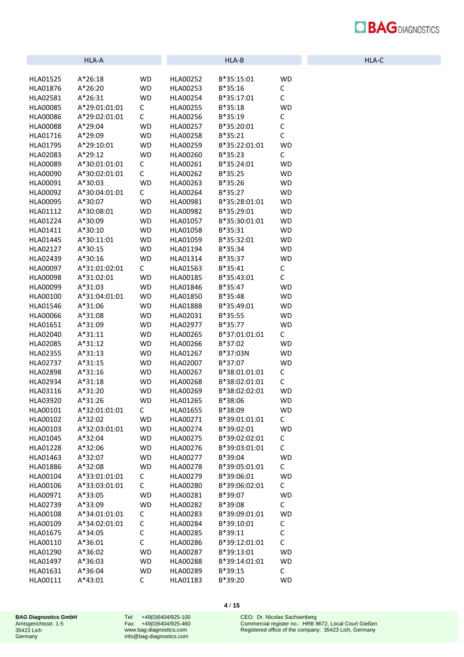| <b>BAGDIAGNOSTICS</b> |
|-----------------------|
|                       |

| HL. | Δ |  |
|-----|---|--|
|     |   |  |

|          | HLA-A         |                        |                 | HLA-B         |              |
|----------|---------------|------------------------|-----------------|---------------|--------------|
|          |               |                        |                 |               |              |
| HLA01525 | $A*26:18$     | WD                     | HLA00252        | B*35:15:01    | <b>WD</b>    |
| HLA01876 | $A*26:20$     | <b>WD</b>              | HLA00253        | B*35:16       | С            |
| HLA02581 | $A*26:31$     | <b>WD</b>              | HLA00254        | B*35:17:01    | С            |
| HLA00085 | A*29:01:01:01 | C                      | <b>HLA00255</b> | B*35:18       | <b>WD</b>    |
| HLA00086 | A*29:02:01:01 | C                      | HLA00256        | $B*35:19$     | С            |
| HLA00088 | A*29:04       | WD                     | HLA00257        | B*35:20:01    | C            |
| HLA01716 | A*29:09       | WD                     | HLA00258        | B*35:21       | $\mathsf{C}$ |
| HLA01795 | A*29:10:01    | WD                     | HLA00259        | B*35:22:01:01 | <b>WD</b>    |
| HLA02083 | A*29:12       | <b>WD</b>              | HLA00260        | B*35:23       | С            |
| HLA00089 | A*30:01:01:01 | С                      | HLA00261        | B*35:24:01    | <b>WD</b>    |
| HLA00090 | A*30:02:01:01 | C                      | HLA00262        | B*35:25       | WD           |
| HLA00091 | A*30:03       | WD                     | HLA00263        | B*35:26       | WD           |
| HLA00092 | A*30:04:01:01 | С                      | HLA00264        | B*35:27       | WD           |
| HLA00095 | A*30:07       | WD                     | HLA00981        | B*35:28:01:01 | WD           |
| HLA01112 | A*30:08:01    | WD                     | HLA00982        | B*35:29:01    | WD           |
| HLA01224 | A*30:09       | WD                     | HLA01057        | B*35:30:01:01 | <b>WD</b>    |
| HLA01411 | $A*30:10$     | WD                     | HLA01058        | B*35:31       | WD           |
| HLA01445 | A*30:11:01    | WD                     | HLA01059        | B*35:32:01    | <b>WD</b>    |
| HLA02127 | A*30:15       | WD                     | HLA01194        | B*35:34       | <b>WD</b>    |
| HLA02439 | A*30:16       | WD                     | HLA01314        | B*35:37       | WD           |
| HLA00097 | A*31:01:02:01 | C                      | HLA01563        | B*35:41       | С            |
| HLA00098 | A*31:02:01    | WD                     | HLA00185        | B*35:43:01    | С            |
| HLA00099 | A*31:03       | <b>WD</b>              | HLA01846        | B*35:47       | WD           |
| HLA00100 | A*31:04:01:01 | <b>WD</b>              | HLA01850        | B*35:48       | WD           |
| HLA01546 | A*31:06       | WD                     | HLA01888        | B*35:49:01    | WD           |
| HLA00066 | A*31:08       | WD                     | HLA02031        | B*35:55       | WD           |
| HLA01651 | A*31:09       | WD                     | HLA02977        | B*35:77       | <b>WD</b>    |
| HLA02040 | $A*31:11$     | WD                     | HLA00265        | B*37:01:01:01 | С            |
| HLA02085 | $A*31:12$     | <b>WD</b>              | HLA00266        | B*37:02       | WD           |
| HLA02355 | $A*31:13$     | <b>WD</b>              | HLA01267        | B*37:03N      | WD           |
| HLA02737 | A*31:15       | WD                     | HLA02007        | B*37:07       | WD           |
| HLA02898 | $A*31:16$     | WD                     | HLA00267        | B*38:01:01:01 | С            |
| HLA02934 | $A*31:18$     | <b>WD</b>              | HLA00268        | B*38:02:01:01 | C            |
| HLA03116 | A*31:20       | WD                     | HLA00269        | B*38:02:02:01 | WD           |
| HLA03920 | $A*31:26$     | <b>WD</b>              | HLA01265        | B*38:06       | <b>WD</b>    |
| HLA00101 | A*32:01:01:01 | С                      | HLA01655        | B*38:09       | WD           |
| HLA00102 | A*32:02       | WD                     | HLA00271        | B*39:01:01:01 | C            |
| HLA00103 | A*32:03:01:01 | WD                     | HLA00274        | B*39:02:01    | WD           |
| HLA01045 | A*32:04       | WD                     | HLA00275        | B*39:02:02:01 | С            |
| HLA01228 | A*32:06       | WD                     | HLA00276        | B*39:03:01:01 | $\mathsf{C}$ |
| HLA01463 | A*32:07       | WD                     | HLA00277        | B*39:04       | WD           |
| HLA01886 | A*32:08       | <b>WD</b>              | HLA00278        | B*39:05:01:01 | C            |
| HLA00104 | A*33:01:01:01 | С                      | HLA00279        | B*39:06:01    | <b>WD</b>    |
| HLA00106 | A*33:03:01:01 | C                      | HLA00280        | B*39:06:02:01 | С            |
| HLA00971 | A*33:05       | <b>WD</b>              | HLA00281        | B*39:07       | WD           |
| HLA02739 | A*33:09       | <b>WD</b>              | HLA00282        | B*39:08       | C            |
| HLA00108 | A*34:01:01:01 | С                      | HLA00283        | B*39:09:01:01 | WD           |
|          | A*34:02:01:01 | С                      | HLA00284        | B*39:10:01    | С            |
| HLA00109 | A*34:05       | С                      |                 |               | C            |
| HLA01675 |               | C                      | HLA00285        | $B*39:11$     | $\mathsf{C}$ |
| HLA00110 | A*36:01       |                        | HLA00286        | B*39:12:01:01 |              |
| HLA01290 | A*36:02       | <b>WD</b><br><b>WD</b> | HLA00287        | B*39:13:01    | WD           |
| HLA01497 | A*36:03       |                        | HLA00288        | B*39:14:01:01 | WD           |
| HLA01631 | A*36:04       | WD                     | HLA00289        | B*39:15       | С            |
| HLA00111 | A*43:01       | С                      | HLA01183        | B*39:20       | WD           |

Tel: +49(0)6404/925-100 Fax: +49(0)6404/925-460 [www.bag-diagnostics.com](http://www.bag-diagnostics.com/) [info@bag-diagnostics.com](mailto:info@bag-diagnostics.com)

**4** / **15**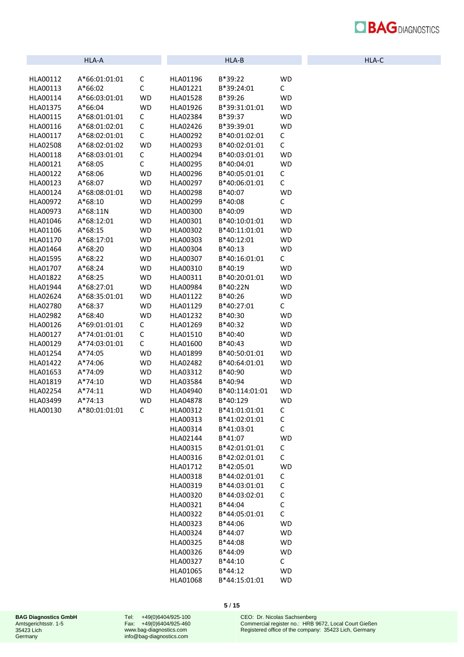| <b>BAGDIAGNOSTICS</b> |
|-----------------------|
|                       |

|  | HLA-C |  |
|--|-------|--|

|                 | HLA-A         |           |                      | HLA-B                          |                |
|-----------------|---------------|-----------|----------------------|--------------------------------|----------------|
|                 |               |           |                      |                                |                |
| HLA00112        | A*66:01:01:01 | С         | HLA01196             | B*39:22                        | WD             |
| HLA00113        | $A*66:02$     | C         | HLA01221             | B*39:24:01                     | С              |
| HLA00114        | A*66:03:01:01 | <b>WD</b> | HLA01528             | $B*39:26$                      | <b>WD</b>      |
| HLA01375        | $A*66:04$     | <b>WD</b> | HLA01926             | B*39:31:01:01                  | <b>WD</b>      |
| HLA00115        | A*68:01:01:01 | С         | HLA02384             | B*39:37                        | <b>WD</b>      |
| HLA00116        | A*68:01:02:01 | С         | HLA02426             | B*39:39:01                     | <b>WD</b>      |
| HLA00117        | A*68:02:01:01 | C         | HLA00292             | B*40:01:02:01                  | С              |
| HLA02508        | A*68:02:01:02 | <b>WD</b> | HLA00293             | B*40:02:01:01                  | C              |
| HLA00118        | A*68:03:01:01 | С         | HLA00294             | B*40:03:01:01                  | <b>WD</b>      |
| HLA00121        | A*68:05       | C         | HLA00295             | B*40:04:01                     | <b>WD</b>      |
| HLA00122        | A*68:06       | <b>WD</b> | HLA00296             | B*40:05:01:01                  | С              |
| HLA00123        | A*68:07       | <b>WD</b> | HLA00297             | B*40:06:01:01                  | C              |
| HLA00124        | A*68:08:01:01 | <b>WD</b> | HLA00298             | B*40:07                        | <b>WD</b>      |
| HLA00972        | $A*68:10$     | <b>WD</b> | HLA00299             | B*40:08                        | C              |
| HLA00973        | A*68:11N      | <b>WD</b> | HLA00300             | B*40:09                        | <b>WD</b>      |
| HLA01046        | A*68:12:01    | <b>WD</b> | HLA00301             | B*40:10:01:01                  | <b>WD</b>      |
| HLA01106        | A*68:15       | <b>WD</b> | HLA00302             | B*40:11:01:01                  | <b>WD</b>      |
| HLA01170        | A*68:17:01    | <b>WD</b> | HLA00303             | B*40:12:01                     | <b>WD</b>      |
| HLA01464        | A*68:20       | <b>WD</b> | HLA00304             | $B*40:13$                      | <b>WD</b>      |
| HLA01595        | $A*68:22$     | <b>WD</b> | HLA00307             | B*40:16:01:01                  | C              |
| HLA01707        | A*68:24       | <b>WD</b> | HLA00310             | $B*40:19$                      | <b>WD</b>      |
| HLA01822        | A*68:25       | <b>WD</b> | HLA00311             | B*40:20:01:01                  | <b>WD</b>      |
| HLA01944        | A*68:27:01    | <b>WD</b> | HLA00984             | B*40:22N                       | <b>WD</b>      |
| HLA02624        | A*68:35:01:01 | <b>WD</b> | HLA01122             | $B*40:26$                      | <b>WD</b>      |
| HLA02780        | A*68:37       | <b>WD</b> | HLA01129             | B*40:27:01                     | C              |
| HLA02982        | A*68:40       | <b>WD</b> | HLA01232             | B*40:30                        | <b>WD</b>      |
| HLA00126        | A*69:01:01:01 | С         | HLA01269             | B*40:32                        | <b>WD</b>      |
| HLA00127        | A*74:01:01:01 | С         | HLA01510             | B*40:40                        | <b>WD</b>      |
| HLA00129        | A*74:03:01:01 | С         | HLA01600             | B*40:43                        | <b>WD</b>      |
| HLA01254        | A*74:05       | <b>WD</b> | HLA01899             | B*40:50:01:01                  | <b>WD</b>      |
| HLA01422        | A*74:06       | <b>WD</b> | HLA02482             | B*40:64:01:01                  | <b>WD</b>      |
| HLA01653        | A*74:09       | <b>WD</b> | HLA03312             | B*40:90                        | <b>WD</b>      |
| HLA01819        | A*74:10       | <b>WD</b> | HLA03584             | B*40:94                        | <b>WD</b>      |
| HLA02254        | $A*74:11$     | WD        | HLA04940             | B*40:114:01:01                 | <b>WD</b>      |
| <b>HLA03499</b> | $A*74:13$     | WD        | <b>HLA04878</b>      | B*40:129                       | <b>WD</b>      |
| HLA00130        | A*80:01:01:01 | C         | HLA00312             | B*41:01:01:01                  | С              |
|                 |               |           | HLA00313             | B*41:02:01:01                  | C              |
|                 |               |           | HLA00314<br>HLA02144 | B*41:03:01                     | C              |
|                 |               |           |                      | B*41:07                        | <b>WD</b>      |
|                 |               |           | HLA00315             | B*42:01:01:01<br>B*42:02:01:01 | C<br>C         |
|                 |               |           | HLA00316             | B*42:05:01                     |                |
|                 |               |           | HLA01712             | B*44:02:01:01                  | <b>WD</b><br>C |
|                 |               |           | HLA00318<br>HLA00319 | B*44:03:01:01                  | C              |
|                 |               |           |                      |                                | C              |
|                 |               |           | HLA00320             | B*44:03:02:01                  | C              |
|                 |               |           | HLA00321<br>HLA00322 | B*44:04<br>B*44:05:01:01       | $\mathsf{C}$   |
|                 |               |           | HLA00323             | B*44:06                        | <b>WD</b>      |
|                 |               |           | HLA00324             | B*44:07                        | <b>WD</b>      |
|                 |               |           | HLA00325             | B*44:08                        | <b>WD</b>      |
|                 |               |           | HLA00326             | B*44:09                        | <b>WD</b>      |
|                 |               |           | HLA00327             | B*44:10                        | C              |
|                 |               |           | HLA01065             | B*44:12                        | <b>WD</b>      |
|                 |               |           | HLA01068             | B*44:15:01:01                  | <b>WD</b>      |
|                 |               |           |                      |                                |                |

Tel: +49(0)6404/925-100 Fax: +49(0)6404/925-460 [www.bag-diagnostics.com](http://www.bag-diagnostics.com/) [info@bag-diagnostics.com](mailto:info@bag-diagnostics.com)

**5** / **15**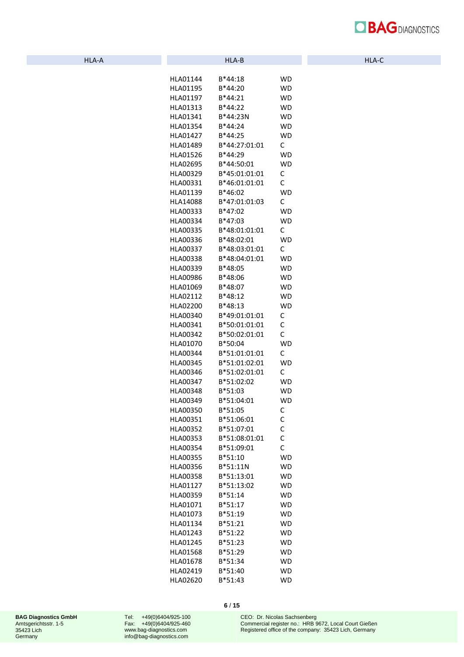

| HLA-A | HLA-B | . .<br>nla-c |
|-------|-------|--------------|
|       |       |              |

| HLA01144<br>B*44:18<br>WD<br>HLA01195<br>B*44:20<br>WD<br>HLA01197<br>$B*44:21$<br>WD<br>HLA01313<br>B*44:22<br>WD<br>B*44:23N<br>WD<br>HLA01341<br>HLA01354<br>B*44:24<br><b>WD</b><br>HLA01427<br>B*44:25<br><b>WD</b><br>B*44:27:01:01<br>C<br>HLA01489<br>HLA01526<br>B*44:29<br>WD<br>HLA02695<br>B*44:50:01<br><b>WD</b><br>С<br>HLA00329<br>B*45:01:01:01<br>C<br>HLA00331<br>B*46:01:01:01<br>HLA01139<br>WD<br>B*46:02<br>C<br>B*47:01:01:03<br>HLA14088<br>HLA00333<br>B*47:02<br>WD<br>HLA00334<br>B*47:03<br><b>WD</b><br>C<br>B*48:01:01:01<br>HLA00335<br>HLA00336<br>B*48:02:01<br><b>WD</b><br>C<br>B*48:03:01:01<br>HLA00337<br>B*48:04:01:01<br>HLA00338<br>WD<br>HLA00339<br>B*48:05<br><b>WD</b><br>HLA00986<br>B*48:06<br><b>WD</b><br>HLA01069<br>B*48:07<br>WD<br>HLA02112<br>B*48:12<br>WD<br>HLA02200<br>$B*48:13$<br><b>WD</b><br>B*49:01:01:01<br>HLA00340<br>С<br>B*50:01:01:01<br>C<br>HLA00341<br>C<br>B*50:02:01:01<br>HLA00342<br>B*50:04<br>WD<br>HLA01070<br>B*51:01:01:01<br>HLA00344<br>C<br>B*51:01:02:01<br>HLA00345<br>WD<br>B*51:02:01:01<br>HLA00346<br>C<br>B*51:02:02<br>HLA00347<br>WD<br>B*51:03<br>HLA00348<br>WD<br>B*51:04:01<br><b>WD</b><br>HLA00349<br>HLA00350<br>B*51:05<br>с<br>HLA00351<br>B*51:06:01<br>C<br>B*51:07:01<br>HLA00352<br>С<br>C<br>HLA00353<br>B*51:08:01:01<br>C<br>HLA00354<br>B*51:09:01<br><b>WD</b><br>HLA00355<br>B*51:10<br>HLA00356<br>B*51:11N<br><b>WD</b><br>HLA00358<br>B*51:13:01<br><b>WD</b><br>HLA01127<br>B*51:13:02<br>WD<br>B*51:14<br>HLA00359<br><b>WD</b><br>B*51:17<br>HLA01071<br><b>WD</b><br>HLA01073<br>B*51:19<br><b>WD</b><br>B*51:21<br><b>WD</b><br>HLA01134<br>B*51:22<br><b>WD</b><br>HLA01243 |
|-------------------------------------------------------------------------------------------------------------------------------------------------------------------------------------------------------------------------------------------------------------------------------------------------------------------------------------------------------------------------------------------------------------------------------------------------------------------------------------------------------------------------------------------------------------------------------------------------------------------------------------------------------------------------------------------------------------------------------------------------------------------------------------------------------------------------------------------------------------------------------------------------------------------------------------------------------------------------------------------------------------------------------------------------------------------------------------------------------------------------------------------------------------------------------------------------------------------------------------------------------------------------------------------------------------------------------------------------------------------------------------------------------------------------------------------------------------------------------------------------------------------------------------------------------------------------------------------------------------------------------------------------------------------------------------------------------|
|                                                                                                                                                                                                                                                                                                                                                                                                                                                                                                                                                                                                                                                                                                                                                                                                                                                                                                                                                                                                                                                                                                                                                                                                                                                                                                                                                                                                                                                                                                                                                                                                                                                                                                       |
|                                                                                                                                                                                                                                                                                                                                                                                                                                                                                                                                                                                                                                                                                                                                                                                                                                                                                                                                                                                                                                                                                                                                                                                                                                                                                                                                                                                                                                                                                                                                                                                                                                                                                                       |
|                                                                                                                                                                                                                                                                                                                                                                                                                                                                                                                                                                                                                                                                                                                                                                                                                                                                                                                                                                                                                                                                                                                                                                                                                                                                                                                                                                                                                                                                                                                                                                                                                                                                                                       |
|                                                                                                                                                                                                                                                                                                                                                                                                                                                                                                                                                                                                                                                                                                                                                                                                                                                                                                                                                                                                                                                                                                                                                                                                                                                                                                                                                                                                                                                                                                                                                                                                                                                                                                       |
|                                                                                                                                                                                                                                                                                                                                                                                                                                                                                                                                                                                                                                                                                                                                                                                                                                                                                                                                                                                                                                                                                                                                                                                                                                                                                                                                                                                                                                                                                                                                                                                                                                                                                                       |
|                                                                                                                                                                                                                                                                                                                                                                                                                                                                                                                                                                                                                                                                                                                                                                                                                                                                                                                                                                                                                                                                                                                                                                                                                                                                                                                                                                                                                                                                                                                                                                                                                                                                                                       |
|                                                                                                                                                                                                                                                                                                                                                                                                                                                                                                                                                                                                                                                                                                                                                                                                                                                                                                                                                                                                                                                                                                                                                                                                                                                                                                                                                                                                                                                                                                                                                                                                                                                                                                       |
|                                                                                                                                                                                                                                                                                                                                                                                                                                                                                                                                                                                                                                                                                                                                                                                                                                                                                                                                                                                                                                                                                                                                                                                                                                                                                                                                                                                                                                                                                                                                                                                                                                                                                                       |
|                                                                                                                                                                                                                                                                                                                                                                                                                                                                                                                                                                                                                                                                                                                                                                                                                                                                                                                                                                                                                                                                                                                                                                                                                                                                                                                                                                                                                                                                                                                                                                                                                                                                                                       |
|                                                                                                                                                                                                                                                                                                                                                                                                                                                                                                                                                                                                                                                                                                                                                                                                                                                                                                                                                                                                                                                                                                                                                                                                                                                                                                                                                                                                                                                                                                                                                                                                                                                                                                       |
|                                                                                                                                                                                                                                                                                                                                                                                                                                                                                                                                                                                                                                                                                                                                                                                                                                                                                                                                                                                                                                                                                                                                                                                                                                                                                                                                                                                                                                                                                                                                                                                                                                                                                                       |
|                                                                                                                                                                                                                                                                                                                                                                                                                                                                                                                                                                                                                                                                                                                                                                                                                                                                                                                                                                                                                                                                                                                                                                                                                                                                                                                                                                                                                                                                                                                                                                                                                                                                                                       |
|                                                                                                                                                                                                                                                                                                                                                                                                                                                                                                                                                                                                                                                                                                                                                                                                                                                                                                                                                                                                                                                                                                                                                                                                                                                                                                                                                                                                                                                                                                                                                                                                                                                                                                       |
|                                                                                                                                                                                                                                                                                                                                                                                                                                                                                                                                                                                                                                                                                                                                                                                                                                                                                                                                                                                                                                                                                                                                                                                                                                                                                                                                                                                                                                                                                                                                                                                                                                                                                                       |
|                                                                                                                                                                                                                                                                                                                                                                                                                                                                                                                                                                                                                                                                                                                                                                                                                                                                                                                                                                                                                                                                                                                                                                                                                                                                                                                                                                                                                                                                                                                                                                                                                                                                                                       |
|                                                                                                                                                                                                                                                                                                                                                                                                                                                                                                                                                                                                                                                                                                                                                                                                                                                                                                                                                                                                                                                                                                                                                                                                                                                                                                                                                                                                                                                                                                                                                                                                                                                                                                       |
|                                                                                                                                                                                                                                                                                                                                                                                                                                                                                                                                                                                                                                                                                                                                                                                                                                                                                                                                                                                                                                                                                                                                                                                                                                                                                                                                                                                                                                                                                                                                                                                                                                                                                                       |
|                                                                                                                                                                                                                                                                                                                                                                                                                                                                                                                                                                                                                                                                                                                                                                                                                                                                                                                                                                                                                                                                                                                                                                                                                                                                                                                                                                                                                                                                                                                                                                                                                                                                                                       |
|                                                                                                                                                                                                                                                                                                                                                                                                                                                                                                                                                                                                                                                                                                                                                                                                                                                                                                                                                                                                                                                                                                                                                                                                                                                                                                                                                                                                                                                                                                                                                                                                                                                                                                       |
|                                                                                                                                                                                                                                                                                                                                                                                                                                                                                                                                                                                                                                                                                                                                                                                                                                                                                                                                                                                                                                                                                                                                                                                                                                                                                                                                                                                                                                                                                                                                                                                                                                                                                                       |
|                                                                                                                                                                                                                                                                                                                                                                                                                                                                                                                                                                                                                                                                                                                                                                                                                                                                                                                                                                                                                                                                                                                                                                                                                                                                                                                                                                                                                                                                                                                                                                                                                                                                                                       |
|                                                                                                                                                                                                                                                                                                                                                                                                                                                                                                                                                                                                                                                                                                                                                                                                                                                                                                                                                                                                                                                                                                                                                                                                                                                                                                                                                                                                                                                                                                                                                                                                                                                                                                       |
|                                                                                                                                                                                                                                                                                                                                                                                                                                                                                                                                                                                                                                                                                                                                                                                                                                                                                                                                                                                                                                                                                                                                                                                                                                                                                                                                                                                                                                                                                                                                                                                                                                                                                                       |
|                                                                                                                                                                                                                                                                                                                                                                                                                                                                                                                                                                                                                                                                                                                                                                                                                                                                                                                                                                                                                                                                                                                                                                                                                                                                                                                                                                                                                                                                                                                                                                                                                                                                                                       |
|                                                                                                                                                                                                                                                                                                                                                                                                                                                                                                                                                                                                                                                                                                                                                                                                                                                                                                                                                                                                                                                                                                                                                                                                                                                                                                                                                                                                                                                                                                                                                                                                                                                                                                       |
|                                                                                                                                                                                                                                                                                                                                                                                                                                                                                                                                                                                                                                                                                                                                                                                                                                                                                                                                                                                                                                                                                                                                                                                                                                                                                                                                                                                                                                                                                                                                                                                                                                                                                                       |
|                                                                                                                                                                                                                                                                                                                                                                                                                                                                                                                                                                                                                                                                                                                                                                                                                                                                                                                                                                                                                                                                                                                                                                                                                                                                                                                                                                                                                                                                                                                                                                                                                                                                                                       |
|                                                                                                                                                                                                                                                                                                                                                                                                                                                                                                                                                                                                                                                                                                                                                                                                                                                                                                                                                                                                                                                                                                                                                                                                                                                                                                                                                                                                                                                                                                                                                                                                                                                                                                       |
|                                                                                                                                                                                                                                                                                                                                                                                                                                                                                                                                                                                                                                                                                                                                                                                                                                                                                                                                                                                                                                                                                                                                                                                                                                                                                                                                                                                                                                                                                                                                                                                                                                                                                                       |
|                                                                                                                                                                                                                                                                                                                                                                                                                                                                                                                                                                                                                                                                                                                                                                                                                                                                                                                                                                                                                                                                                                                                                                                                                                                                                                                                                                                                                                                                                                                                                                                                                                                                                                       |
|                                                                                                                                                                                                                                                                                                                                                                                                                                                                                                                                                                                                                                                                                                                                                                                                                                                                                                                                                                                                                                                                                                                                                                                                                                                                                                                                                                                                                                                                                                                                                                                                                                                                                                       |
|                                                                                                                                                                                                                                                                                                                                                                                                                                                                                                                                                                                                                                                                                                                                                                                                                                                                                                                                                                                                                                                                                                                                                                                                                                                                                                                                                                                                                                                                                                                                                                                                                                                                                                       |
|                                                                                                                                                                                                                                                                                                                                                                                                                                                                                                                                                                                                                                                                                                                                                                                                                                                                                                                                                                                                                                                                                                                                                                                                                                                                                                                                                                                                                                                                                                                                                                                                                                                                                                       |
|                                                                                                                                                                                                                                                                                                                                                                                                                                                                                                                                                                                                                                                                                                                                                                                                                                                                                                                                                                                                                                                                                                                                                                                                                                                                                                                                                                                                                                                                                                                                                                                                                                                                                                       |
|                                                                                                                                                                                                                                                                                                                                                                                                                                                                                                                                                                                                                                                                                                                                                                                                                                                                                                                                                                                                                                                                                                                                                                                                                                                                                                                                                                                                                                                                                                                                                                                                                                                                                                       |
|                                                                                                                                                                                                                                                                                                                                                                                                                                                                                                                                                                                                                                                                                                                                                                                                                                                                                                                                                                                                                                                                                                                                                                                                                                                                                                                                                                                                                                                                                                                                                                                                                                                                                                       |
|                                                                                                                                                                                                                                                                                                                                                                                                                                                                                                                                                                                                                                                                                                                                                                                                                                                                                                                                                                                                                                                                                                                                                                                                                                                                                                                                                                                                                                                                                                                                                                                                                                                                                                       |
|                                                                                                                                                                                                                                                                                                                                                                                                                                                                                                                                                                                                                                                                                                                                                                                                                                                                                                                                                                                                                                                                                                                                                                                                                                                                                                                                                                                                                                                                                                                                                                                                                                                                                                       |
|                                                                                                                                                                                                                                                                                                                                                                                                                                                                                                                                                                                                                                                                                                                                                                                                                                                                                                                                                                                                                                                                                                                                                                                                                                                                                                                                                                                                                                                                                                                                                                                                                                                                                                       |
|                                                                                                                                                                                                                                                                                                                                                                                                                                                                                                                                                                                                                                                                                                                                                                                                                                                                                                                                                                                                                                                                                                                                                                                                                                                                                                                                                                                                                                                                                                                                                                                                                                                                                                       |
|                                                                                                                                                                                                                                                                                                                                                                                                                                                                                                                                                                                                                                                                                                                                                                                                                                                                                                                                                                                                                                                                                                                                                                                                                                                                                                                                                                                                                                                                                                                                                                                                                                                                                                       |
|                                                                                                                                                                                                                                                                                                                                                                                                                                                                                                                                                                                                                                                                                                                                                                                                                                                                                                                                                                                                                                                                                                                                                                                                                                                                                                                                                                                                                                                                                                                                                                                                                                                                                                       |
|                                                                                                                                                                                                                                                                                                                                                                                                                                                                                                                                                                                                                                                                                                                                                                                                                                                                                                                                                                                                                                                                                                                                                                                                                                                                                                                                                                                                                                                                                                                                                                                                                                                                                                       |
|                                                                                                                                                                                                                                                                                                                                                                                                                                                                                                                                                                                                                                                                                                                                                                                                                                                                                                                                                                                                                                                                                                                                                                                                                                                                                                                                                                                                                                                                                                                                                                                                                                                                                                       |
|                                                                                                                                                                                                                                                                                                                                                                                                                                                                                                                                                                                                                                                                                                                                                                                                                                                                                                                                                                                                                                                                                                                                                                                                                                                                                                                                                                                                                                                                                                                                                                                                                                                                                                       |
|                                                                                                                                                                                                                                                                                                                                                                                                                                                                                                                                                                                                                                                                                                                                                                                                                                                                                                                                                                                                                                                                                                                                                                                                                                                                                                                                                                                                                                                                                                                                                                                                                                                                                                       |
|                                                                                                                                                                                                                                                                                                                                                                                                                                                                                                                                                                                                                                                                                                                                                                                                                                                                                                                                                                                                                                                                                                                                                                                                                                                                                                                                                                                                                                                                                                                                                                                                                                                                                                       |
|                                                                                                                                                                                                                                                                                                                                                                                                                                                                                                                                                                                                                                                                                                                                                                                                                                                                                                                                                                                                                                                                                                                                                                                                                                                                                                                                                                                                                                                                                                                                                                                                                                                                                                       |
|                                                                                                                                                                                                                                                                                                                                                                                                                                                                                                                                                                                                                                                                                                                                                                                                                                                                                                                                                                                                                                                                                                                                                                                                                                                                                                                                                                                                                                                                                                                                                                                                                                                                                                       |
|                                                                                                                                                                                                                                                                                                                                                                                                                                                                                                                                                                                                                                                                                                                                                                                                                                                                                                                                                                                                                                                                                                                                                                                                                                                                                                                                                                                                                                                                                                                                                                                                                                                                                                       |
| HLA01245<br>B*51:23<br><b>WD</b>                                                                                                                                                                                                                                                                                                                                                                                                                                                                                                                                                                                                                                                                                                                                                                                                                                                                                                                                                                                                                                                                                                                                                                                                                                                                                                                                                                                                                                                                                                                                                                                                                                                                      |
| HLA01568<br>B*51:29<br><b>WD</b>                                                                                                                                                                                                                                                                                                                                                                                                                                                                                                                                                                                                                                                                                                                                                                                                                                                                                                                                                                                                                                                                                                                                                                                                                                                                                                                                                                                                                                                                                                                                                                                                                                                                      |
| HLA01678<br>B*51:34<br><b>WD</b>                                                                                                                                                                                                                                                                                                                                                                                                                                                                                                                                                                                                                                                                                                                                                                                                                                                                                                                                                                                                                                                                                                                                                                                                                                                                                                                                                                                                                                                                                                                                                                                                                                                                      |
|                                                                                                                                                                                                                                                                                                                                                                                                                                                                                                                                                                                                                                                                                                                                                                                                                                                                                                                                                                                                                                                                                                                                                                                                                                                                                                                                                                                                                                                                                                                                                                                                                                                                                                       |
| B*51:40<br><b>WD</b><br>HLA02419                                                                                                                                                                                                                                                                                                                                                                                                                                                                                                                                                                                                                                                                                                                                                                                                                                                                                                                                                                                                                                                                                                                                                                                                                                                                                                                                                                                                                                                                                                                                                                                                                                                                      |

Tel: +49(0)6404/925-100 Fax: +49(0)6404/925-460 [www.bag-diagnostics.com](http://www.bag-diagnostics.com/) [info@bag-diagnostics.com](mailto:info@bag-diagnostics.com)

**6** / **15**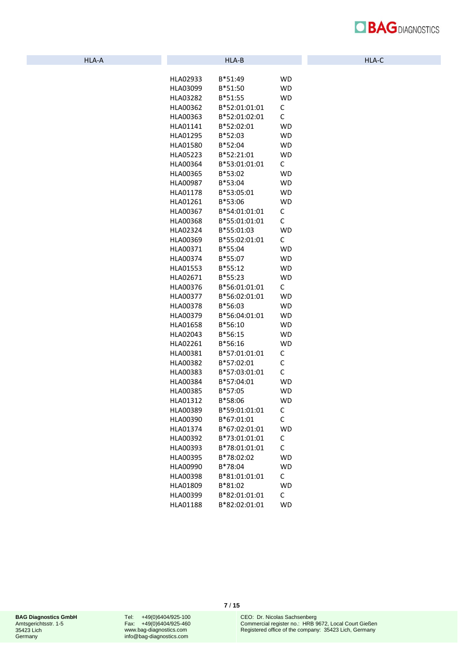

|  | HLA-A |
|--|-------|
|  |       |
|  |       |

| HLA02933 | B*51:49       | WD           |
|----------|---------------|--------------|
| HLA03099 | B*51:50       | WD           |
| HLA03282 | B*51:55       | <b>WD</b>    |
| HLA00362 | B*52:01:01:01 | C            |
| HLA00363 | B*52:01:02:01 | С            |
| HLA01141 | B*52:02:01    | WD           |
| HLA01295 | B*52:03       | WD           |
| HLA01580 | B*52:04       | <b>WD</b>    |
| HLA05223 | B*52:21:01    | <b>WD</b>    |
| HLA00364 | B*53:01:01:01 | $\mathsf{C}$ |
| HLA00365 | B*53:02       | <b>WD</b>    |
| HLA00987 | B*53:04       | WD           |
| HLA01178 | B*53:05:01    | WD           |
| HLA01261 | B*53:06       | <b>WD</b>    |
| HLA00367 | B*54:01:01:01 | C            |
| HLA00368 | B*55:01:01:01 | C            |
| HLA02324 | B*55:01:03    | <b>WD</b>    |
| HLA00369 | B*55:02:01:01 | $\mathsf{C}$ |
| HLA00371 | B*55:04       | WD           |
| HLA00374 | B*55:07       | WD           |
| HLA01553 | $B*55:12$     | <b>WD</b>    |
| HLA02671 | B*55:23       | <b>WD</b>    |
| HLA00376 | B*56:01:01:01 | C            |
| HLA00377 | B*56:02:01:01 | WD           |
| HLA00378 | B*56:03       | WD           |
| HLA00379 | B*56:04:01:01 | WD           |
| HLA01658 | B*56:10       | <b>WD</b>    |
| HLA02043 | B*56:15       | <b>WD</b>    |
|          | B*56:16       | <b>WD</b>    |
| HLA02261 |               |              |
| HLA00381 | B*57:01:01:01 | C            |
| HLA00382 | B*57:02:01    | C            |
| HLA00383 | B*57:03:01:01 | C            |
| HLA00384 | B*57:04:01    | WD           |
| HLA00385 | B*57:05       | WD           |
| HLA01312 | B*58:06       | <b>WD</b>    |
| HLA00389 | B*59:01:01:01 | С            |
| HLA00390 | B*67:01:01    | $\mathsf{C}$ |
| HLA01374 | B*67:02:01:01 | WD           |
| HLA00392 | B*73:01:01:01 | С            |
| HLA00393 | B*78:01:01:01 | C            |
| HLA00395 | B*78:02:02    | <b>WD</b>    |
| HLA00990 | B*78:04       | <b>WD</b>    |
| HLA00398 | B*81:01:01:01 | C            |
| HLA01809 | B*81:02       | <b>WD</b>    |
| HLA00399 | B*82:01:01:01 | C            |
| HLA01188 | B*82:02:01:01 | <b>WD</b>    |

Tel: +49(0)6404/925-100 Fax: +49(0)6404/925-460 [www.bag-diagnostics.com](http://www.bag-diagnostics.com/) [info@bag-diagnostics.com](mailto:info@bag-diagnostics.com)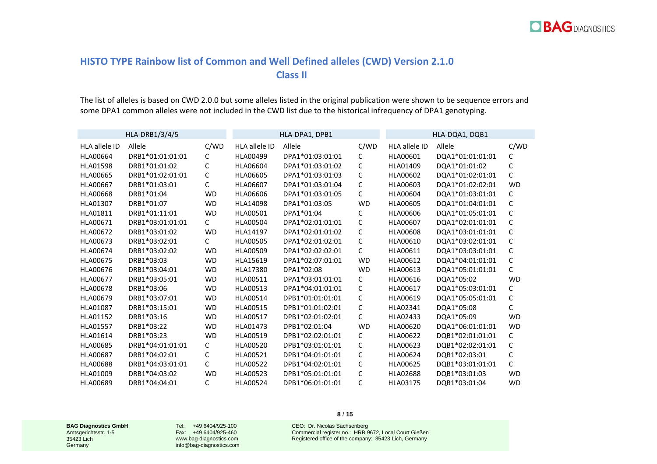

## **HISTO TYPE Rainbow list of Common and Well Defined alleles (CWD) Version 2.1.0 Class II**

The list of alleles is based on CWD 2.0.0 but some alleles listed in the original publication were shown to be sequence errors and some DPA1 common alleles were not included in the CWD list due to the historical infrequency of DPA1 genotyping.

|                      | HLA-DRB1/3/4/5   |              |                      | HLA-DPA1, DPB1   |           |                      | HLA-DQA1, DQB1   |           |
|----------------------|------------------|--------------|----------------------|------------------|-----------|----------------------|------------------|-----------|
| <b>HLA allele ID</b> | Allele           | C/WD         | <b>HLA allele ID</b> | Allele           | C/WD      | <b>HLA allele ID</b> | Allele           | C/WD      |
| <b>HLA00664</b>      | DRB1*01:01:01:01 | C            | HLA00499             | DPA1*01:03:01:01 | C         | HLA00601             | DQA1*01:01:01:01 | C         |
| <b>HLA01598</b>      | DRB1*01:01:02    | C            | HLA06604             | DPA1*01:03:01:02 | C         | HLA01409             | DQA1*01:01:02    | C         |
| <b>HLA00665</b>      | DRB1*01:02:01:01 | C            | <b>HLA06605</b>      | DPA1*01:03:01:03 | С         | HLA00602             | DQA1*01:02:01:01 | C         |
| <b>HLA00667</b>      | DRB1*01:03:01    | C            | HLA06607             | DPA1*01:03:01:04 | C         | HLA00603             | DQA1*01:02:02:01 | <b>WD</b> |
| <b>HLA00668</b>      | DRB1*01:04       | <b>WD</b>    | HLA06606             | DPA1*01:03:01:05 | C         | HLA00604             | DQA1*01:03:01:01 | C         |
| HLA01307             | DRB1*01:07       | <b>WD</b>    | HLA14098             | DPA1*01:03:05    | <b>WD</b> | <b>HLA00605</b>      | DQA1*01:04:01:01 | C         |
| HLA01811             | DRB1*01:11:01    | <b>WD</b>    | HLA00501             | DPA1*01:04       | C         | <b>HLA00606</b>      | DQA1*01:05:01:01 | C         |
| HLA00671             | DRB1*03:01:01:01 | $\mathsf{C}$ | <b>HLA00504</b>      | DPA1*02:01:01:01 | C         | HLA00607             | DQA1*02:01:01:01 | C         |
| <b>HLA00672</b>      | DRB1*03:01:02    | <b>WD</b>    | HLA14197             | DPA1*02:01:01:02 | C         | <b>HLA00608</b>      | DQA1*03:01:01:01 | C         |
| HLA00673             | DRB1*03:02:01    | C            | <b>HLA00505</b>      | DPA1*02:01:02:01 | C         | HLA00610             | DQA1*03:02:01:01 | C         |
| <b>HLA00674</b>      | DRB1*03:02:02    | <b>WD</b>    | <b>HLA00509</b>      | DPA1*02:02:02:01 | C         | HLA00611             | DQA1*03:03:01:01 | C         |
| <b>HLA00675</b>      | DRB1*03:03       | <b>WD</b>    | HLA15619             | DPA1*02:07:01:01 | <b>WD</b> | HLA00612             | DQA1*04:01:01:01 | C         |
| <b>HLA00676</b>      | DRB1*03:04:01    | <b>WD</b>    | HLA17380             | DPA1*02:08       | <b>WD</b> | HLA00613             | DQA1*05:01:01:01 | C         |
| <b>HLA00677</b>      | DRB1*03:05:01    | <b>WD</b>    | HLA00511             | DPA1*03:01:01:01 | C         | HLA00616             | DQA1*05:02       | <b>WD</b> |
| <b>HLA00678</b>      | DRB1*03:06       | <b>WD</b>    | HLA00513             | DPA1*04:01:01:01 | C         | HLA00617             | DQA1*05:03:01:01 | C         |
| <b>HLA00679</b>      | DRB1*03:07:01    | <b>WD</b>    | HLA00514             | DPB1*01:01:01:01 | C         | HLA00619             | DQA1*05:05:01:01 | C         |
| HLA01087             | DRB1*03:15:01    | <b>WD</b>    | <b>HLA00515</b>      | DPB1*01:01:02:01 | C         | HLA02341             | DQA1*05:08       | C         |
| HLA01152             | DRB1*03:16       | <b>WD</b>    | HLA00517             | DPB1*02:01:02:01 | C         | HLA02433             | DQA1*05:09       | <b>WD</b> |
| <b>HLA01557</b>      | DRB1*03:22       | <b>WD</b>    | HLA01473             | DPB1*02:01:04    | <b>WD</b> | HLA00620             | DQA1*06:01:01:01 | <b>WD</b> |
| HLA01614             | DRB1*03:23       | <b>WD</b>    | HLA00519             | DPB1*02:02:01:01 | C         | HLA00622             | DQB1*02:01:01:01 | C         |
| <b>HLA00685</b>      | DRB1*04:01:01:01 | C            | <b>HLA00520</b>      | DPB1*03:01:01:01 | C         | HLA00623             | DQB1*02:02:01:01 | C         |
| <b>HLA00687</b>      | DRB1*04:02:01    | C            | HLA00521             | DPB1*04:01:01:01 | C         | HLA00624             | DQB1*02:03:01    | C         |
| <b>HLA00688</b>      | DRB1*04:03:01:01 | C            | HLA00522             | DPB1*04:02:01:01 | C         | HLA00625             | DQB1*03:01:01:01 | C         |
| HLA01009             | DRB1*04:03:02    | <b>WD</b>    | HLA00523             | DPB1*05:01:01:01 | C         | <b>HLA02688</b>      | DQB1*03:01:03    | <b>WD</b> |
| <b>HLA00689</b>      | DRB1*04:04:01    | C            | <b>HLA00524</b>      | DPB1*06:01:01:01 | C         | <b>HLA03175</b>      | DQB1*03:01:04    | <b>WD</b> |

**8** / **15**

**BAG Diagnostics GmbH** Amtsgerichtsstr. 1-5 35423 Lich **Germany** 

Tel: +49 6404/925-100 Fax: +49 6404/925-460 www.bag-diagnostics.com info@bag-diagnostics.com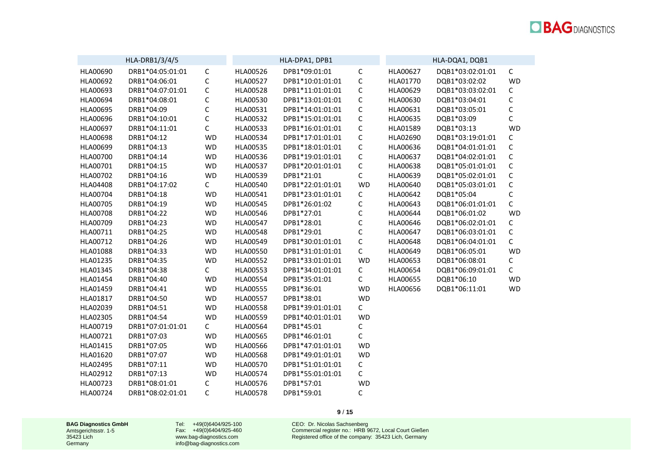|                 | HLA-DRB1/3/4/5   |             |                 | HLA-DPA1, DPB1   |             |          | HLA-DQA1, DQB1   |              |
|-----------------|------------------|-------------|-----------------|------------------|-------------|----------|------------------|--------------|
| HLA00690        | DRB1*04:05:01:01 | $\mathsf C$ | HLA00526        | DPB1*09:01:01    | $\mathsf C$ | HLA00627 | DQB1*03:02:01:01 | $\mathsf C$  |
| HLA00692        | DRB1*04:06:01    | $\mathsf C$ | <b>HLA00527</b> | DPB1*10:01:01:01 | $\mathsf C$ | HLA01770 | DQB1*03:02:02    | <b>WD</b>    |
| HLA00693        | DRB1*04:07:01:01 | C           | HLA00528        | DPB1*11:01:01:01 | $\mathsf C$ | HLA00629 | DQB1*03:03:02:01 | $\mathsf C$  |
| HLA00694        | DRB1*04:08:01    | С           | HLA00530        | DPB1*13:01:01:01 | $\mathsf C$ | HLA00630 | DQB1*03:04:01    | $\mathsf C$  |
| HLA00695        | DRB1*04:09       | C           | HLA00531        | DPB1*14:01:01:01 | $\mathsf C$ | HLA00631 | DQB1*03:05:01    | $\mathsf C$  |
| HLA00696        | DRB1*04:10:01    | C           | HLA00532        | DPB1*15:01:01:01 | $\mathsf C$ | HLA00635 | DQB1*03:09       | $\mathsf C$  |
| HLA00697        | DRB1*04:11:01    | С           | HLA00533        | DPB1*16:01:01:01 | C           | HLA01589 | DQB1*03:13       | <b>WD</b>    |
| HLA00698        | DRB1*04:12       | <b>WD</b>   | HLA00534        | DPB1*17:01:01:01 | C           | HLA02690 | DQB1*03:19:01:01 | $\mathsf C$  |
| HLA00699        | DRB1*04:13       | <b>WD</b>   | HLA00535        | DPB1*18:01:01:01 | $\mathsf C$ | HLA00636 | DQB1*04:01:01:01 | $\mathsf C$  |
| HLA00700        | DRB1*04:14       | <b>WD</b>   | HLA00536        | DPB1*19:01:01:01 | C           | HLA00637 | DQB1*04:02:01:01 | $\mathsf C$  |
| HLA00701        | DRB1*04:15       | <b>WD</b>   | HLA00537        | DPB1*20:01:01:01 | $\mathsf C$ | HLA00638 | DQB1*05:01:01:01 | $\mathsf C$  |
| HLA00702        | DRB1*04:16       | <b>WD</b>   | HLA00539        | DPB1*21:01       | $\mathsf C$ | HLA00639 | DQB1*05:02:01:01 | $\mathsf C$  |
| HLA04408        | DRB1*04:17:02    | C           | HLA00540        | DPB1*22:01:01:01 | <b>WD</b>   | HLA00640 | DQB1*05:03:01:01 | $\mathsf C$  |
| HLA00704        | DRB1*04:18       | <b>WD</b>   | HLA00541        | DPB1*23:01:01:01 | С           | HLA00642 | DQB1*05:04       | $\mathsf C$  |
| HLA00705        | DRB1*04:19       | <b>WD</b>   | HLA00545        | DPB1*26:01:02    | C           | HLA00643 | DQB1*06:01:01:01 | $\mathsf{C}$ |
| <b>HLA00708</b> | DRB1*04:22       | <b>WD</b>   | <b>HLA00546</b> | DPB1*27:01       | C           | HLA00644 | DQB1*06:01:02    | <b>WD</b>    |
| HLA00709        | DRB1*04:23       | <b>WD</b>   | HLA00547        | DPB1*28:01       | $\mathsf C$ | HLA00646 | DQB1*06:02:01:01 | $\mathsf C$  |
| HLA00711        | DRB1*04:25       | <b>WD</b>   | <b>HLA00548</b> | DPB1*29:01       | $\mathsf C$ | HLA00647 | DQB1*06:03:01:01 | $\mathsf C$  |
| HLA00712        | DRB1*04:26       | <b>WD</b>   | HLA00549        | DPB1*30:01:01:01 | $\mathsf C$ | HLA00648 | DQB1*06:04:01:01 | $\mathsf{C}$ |
| HLA01088        | DRB1*04:33       | <b>WD</b>   | HLA00550        | DPB1*31:01:01:01 | $\mathsf C$ | HLA00649 | DQB1*06:05:01    | <b>WD</b>    |
| HLA01235        | DRB1*04:35       | <b>WD</b>   | HLA00552        | DPB1*33:01:01:01 | <b>WD</b>   | HLA00653 | DQB1*06:08:01    | $\mathsf C$  |
| HLA01345        | DRB1*04:38       | C           | HLA00553        | DPB1*34:01:01:01 | C           | HLA00654 | DQB1*06:09:01:01 | $\mathsf{C}$ |
| HLA01454        | DRB1*04:40       | <b>WD</b>   | HLA00554        | DPB1*35:01:01    | С           | HLA00655 | DQB1*06:10       | <b>WD</b>    |
| HLA01459        | DRB1*04:41       | <b>WD</b>   | HLA00555        | DPB1*36:01       | <b>WD</b>   | HLA00656 | DQB1*06:11:01    | <b>WD</b>    |
| HLA01817        | DRB1*04:50       | <b>WD</b>   | <b>HLA00557</b> | DPB1*38:01       | <b>WD</b>   |          |                  |              |
| HLA02039        | DRB1*04:51       | <b>WD</b>   | HLA00558        | DPB1*39:01:01:01 | C           |          |                  |              |
| HLA02305        | DRB1*04:54       | <b>WD</b>   | HLA00559        | DPB1*40:01:01:01 | <b>WD</b>   |          |                  |              |
| HLA00719        | DRB1*07:01:01:01 | C           | HLA00564        | DPB1*45:01       | С           |          |                  |              |
| HLA00721        | DRB1*07:03       | <b>WD</b>   | HLA00565        | DPB1*46:01:01    | $\mathsf C$ |          |                  |              |
| HLA01415        | DRB1*07:05       | <b>WD</b>   | <b>HLA00566</b> | DPB1*47:01:01:01 | <b>WD</b>   |          |                  |              |
| HLA01620        | DRB1*07:07       | <b>WD</b>   | <b>HLA00568</b> | DPB1*49:01:01:01 | <b>WD</b>   |          |                  |              |
| HLA02495        | DRB1*07:11       | <b>WD</b>   | HLA00570        | DPB1*51:01:01:01 | С           |          |                  |              |
| HLA02912        | DRB1*07:13       | <b>WD</b>   | HLA00574        | DPB1*55:01:01:01 | $\mathsf C$ |          |                  |              |
| HLA00723        | DRB1*08:01:01    | С           | HLA00576        | DPB1*57:01       | <b>WD</b>   |          |                  |              |
| HLA00724        | DRB1*08:02:01:01 | C           | HLA00578        | DPB1*59:01       | $\mathsf C$ |          |                  |              |

**9** / **15**

**BAG Diagnostics GmbH** Amtsgerichtsstr. 1-5 35423 Lich Germany

Tel: +49(0)6404/925-100 Fax: +49(0)6404/925-460 [www.bag-diagnostics.com](http://www.bag-diagnostics.com/) [info@bag-diagnostics.com](mailto:info@bag-diagnostics.com)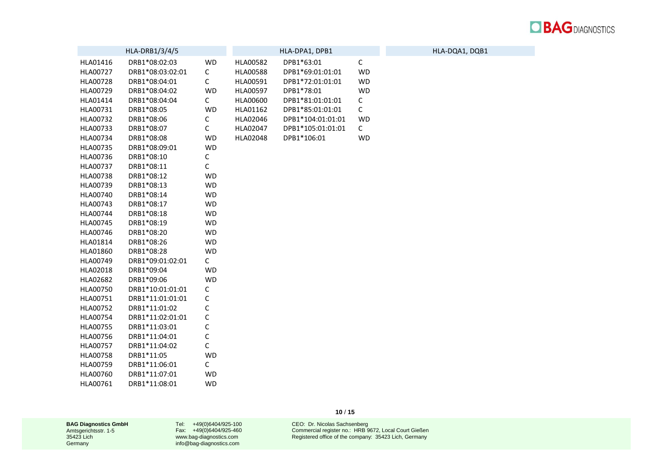

|          | HLA-DRB1/3/4/5   |             |          | HLA-DPA1, DPB1    |              | HLA-DQA1, DQB1 |
|----------|------------------|-------------|----------|-------------------|--------------|----------------|
| HLA01416 | DRB1*08:02:03    | <b>WD</b>   | HLA00582 | DPB1*63:01        | $\mathsf C$  |                |
| HLA00727 | DRB1*08:03:02:01 | С           | HLA00588 | DPB1*69:01:01:01  | <b>WD</b>    |                |
| HLA00728 | DRB1*08:04:01    | С           | HLA00591 | DPB1*72:01:01:01  | <b>WD</b>    |                |
| HLA00729 | DRB1*08:04:02    | WD          | HLA00597 | DPB1*78:01        | <b>WD</b>    |                |
| HLA01414 | DRB1*08:04:04    | C           | HLA00600 | DPB1*81:01:01:01  | С            |                |
| HLA00731 | DRB1*08:05       | WD          | HLA01162 | DPB1*85:01:01:01  | $\mathsf C$  |                |
| HLA00732 | DRB1*08:06       | С           | HLA02046 | DPB1*104:01:01:01 | <b>WD</b>    |                |
| HLA00733 | DRB1*08:07       | С           | HLA02047 | DPB1*105:01:01:01 | $\mathsf{C}$ |                |
| HLA00734 | DRB1*08:08       | WD          | HLA02048 | DPB1*106:01       | <b>WD</b>    |                |
| HLA00735 | DRB1*08:09:01    | WD          |          |                   |              |                |
| HLA00736 | DRB1*08:10       | С           |          |                   |              |                |
| HLA00737 | DRB1*08:11       | $\mathsf C$ |          |                   |              |                |
| HLA00738 | DRB1*08:12       | WD          |          |                   |              |                |
| HLA00739 | DRB1*08:13       | WD          |          |                   |              |                |
| HLA00740 | DRB1*08:14       | <b>WD</b>   |          |                   |              |                |
| HLA00743 | DRB1*08:17       | WD          |          |                   |              |                |
| HLA00744 | DRB1*08:18       | WD          |          |                   |              |                |
| HLA00745 | DRB1*08:19       | <b>WD</b>   |          |                   |              |                |
| HLA00746 | DRB1*08:20       | WD          |          |                   |              |                |
| HLA01814 | DRB1*08:26       | <b>WD</b>   |          |                   |              |                |
| HLA01860 | DRB1*08:28       | WD          |          |                   |              |                |
| HLA00749 | DRB1*09:01:02:01 | C           |          |                   |              |                |
| HLA02018 | DRB1*09:04       | <b>WD</b>   |          |                   |              |                |
| HLA02682 | DRB1*09:06       | <b>WD</b>   |          |                   |              |                |
| HLA00750 | DRB1*10:01:01:01 | С           |          |                   |              |                |
| HLA00751 | DRB1*11:01:01:01 | С           |          |                   |              |                |
| HLA00752 | DRB1*11:01:02    | C           |          |                   |              |                |
| HLA00754 | DRB1*11:02:01:01 | $\mathsf C$ |          |                   |              |                |
| HLA00755 | DRB1*11:03:01    | $\mathsf C$ |          |                   |              |                |
| HLA00756 | DRB1*11:04:01    | С           |          |                   |              |                |
| HLA00757 | DRB1*11:04:02    | $\mathsf C$ |          |                   |              |                |
| HLA00758 | DRB1*11:05       | <b>WD</b>   |          |                   |              |                |
| HLA00759 | DRB1*11:06:01    | C           |          |                   |              |                |
| HLA00760 | DRB1*11:07:01    | <b>WD</b>   |          |                   |              |                |
| HLA00761 | DRB1*11:08:01    | <b>WD</b>   |          |                   |              |                |

Tel: +49(0)6404/925-100 Fax: +49(0)6404/925-460 [www.bag-diagnostics.com](http://www.bag-diagnostics.com/) [info@bag-diagnostics.com](mailto:info@bag-diagnostics.com)

CEO: Dr. Nicolas Sachsenberg Commercial register no.: HRB 9672, Local Court Gießen Registered office of the company: 35423 Lich, Germany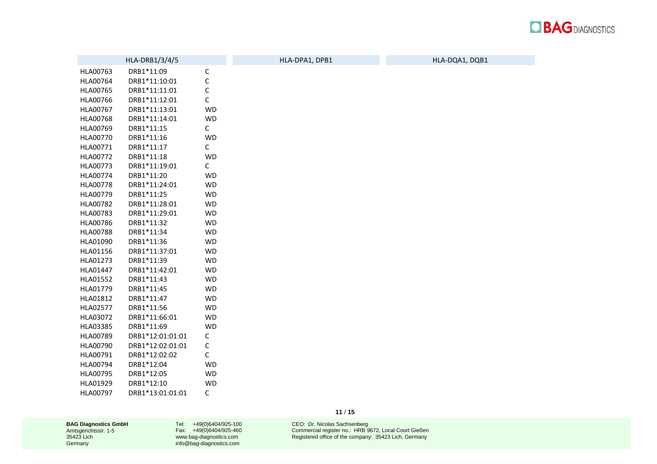

|          | HLA-DRB1/3/4/5   |             | HLA-DPA1, DPB1 | HLA-DQA1, DQB1 |
|----------|------------------|-------------|----------------|----------------|
| HLA00763 | DRB1*11:09       | $\mathsf C$ |                |                |
| HLA00764 | DRB1*11:10:01    | $\mathsf C$ |                |                |
| HLA00765 | DRB1*11:11:01    | $\mathsf C$ |                |                |
| HLA00766 | DRB1*11:12:01    | $\mathsf C$ |                |                |
| HLA00767 | DRB1*11:13:01    | <b>WD</b>   |                |                |
| HLA00768 | DRB1*11:14:01    | <b>WD</b>   |                |                |
| HLA00769 | DRB1*11:15       | $\mathsf C$ |                |                |
| HLA00770 | DRB1*11:16       | <b>WD</b>   |                |                |
| HLA00771 | DRB1*11:17       | $\mathsf C$ |                |                |
| HLA00772 | DRB1*11:18       | <b>WD</b>   |                |                |
| HLA00773 | DRB1*11:19:01    | $\mathsf C$ |                |                |
| HLA00774 | DRB1*11:20       | <b>WD</b>   |                |                |
| HLA00778 | DRB1*11:24:01    | <b>WD</b>   |                |                |
| HLA00779 | DRB1*11:25       | <b>WD</b>   |                |                |
| HLA00782 | DRB1*11:28:01    | <b>WD</b>   |                |                |
| HLA00783 | DRB1*11:29:01    | <b>WD</b>   |                |                |
| HLA00786 | DRB1*11:32       | <b>WD</b>   |                |                |
| HLA00788 | DRB1*11:34       | <b>WD</b>   |                |                |
| HLA01090 | DRB1*11:36       | <b>WD</b>   |                |                |
| HLA01156 | DRB1*11:37:01    | <b>WD</b>   |                |                |
| HLA01273 | DRB1*11:39       | <b>WD</b>   |                |                |
| HLA01447 | DRB1*11:42:01    | <b>WD</b>   |                |                |
| HLA01552 | DRB1*11:43       | <b>WD</b>   |                |                |
| HLA01779 | DRB1*11:45       | <b>WD</b>   |                |                |
| HLA01812 | DRB1*11:47       | WD          |                |                |
| HLA02577 | DRB1*11:56       | <b>WD</b>   |                |                |
| HLA03072 | DRB1*11:66:01    | <b>WD</b>   |                |                |
| HLA03385 | DRB1*11:69       | <b>WD</b>   |                |                |
| HLA00789 | DRB1*12:01:01:01 | С           |                |                |
| HLA00790 | DRB1*12:02:01:01 | С           |                |                |
| HLA00791 | DRB1*12:02:02    | С           |                |                |
| HLA00794 | DRB1*12:04       | <b>WD</b>   |                |                |
| HLA00795 | DRB1*12:05       | <b>WD</b>   |                |                |
| HLA01929 | DRB1*12:10       | <b>WD</b>   |                |                |
| HLA00797 | DRB1*13:01:01:01 | С           |                |                |

Tel: +49(0)6404/925-100 Fax: +49(0)6404/925-460 [www.bag-diagnostics.com](http://www.bag-diagnostics.com/) [info@bag-diagnostics.com](mailto:info@bag-diagnostics.com)

**11** / **15**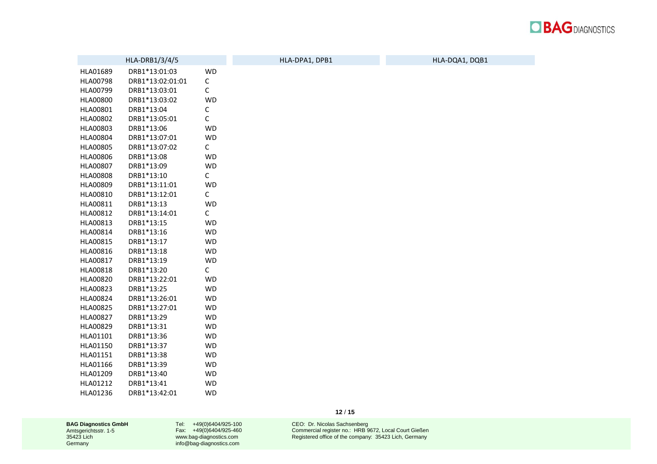

|          | HLA-DRB1/3/4/5   |              | HLA-DPA1, DPB1 | HLA-DQA1, DQB1 |
|----------|------------------|--------------|----------------|----------------|
| HLA01689 | DRB1*13:01:03    | <b>WD</b>    |                |                |
| HLA00798 | DRB1*13:02:01:01 | С            |                |                |
| HLA00799 | DRB1*13:03:01    | $\mathsf C$  |                |                |
| HLA00800 | DRB1*13:03:02    | <b>WD</b>    |                |                |
| HLA00801 | DRB1*13:04       | С            |                |                |
| HLA00802 | DRB1*13:05:01    | $\mathsf C$  |                |                |
| HLA00803 | DRB1*13:06       | <b>WD</b>    |                |                |
| HLA00804 | DRB1*13:07:01    | <b>WD</b>    |                |                |
| HLA00805 | DRB1*13:07:02    | $\mathsf C$  |                |                |
| HLA00806 | DRB1*13:08       | WD           |                |                |
| HLA00807 | DRB1*13:09       | <b>WD</b>    |                |                |
| HLA00808 | DRB1*13:10       | $\mathsf{C}$ |                |                |
| HLA00809 | DRB1*13:11:01    | WD           |                |                |
| HLA00810 | DRB1*13:12:01    | $\mathsf{C}$ |                |                |
| HLA00811 | DRB1*13:13       | <b>WD</b>    |                |                |
| HLA00812 | DRB1*13:14:01    | $\mathsf{C}$ |                |                |
| HLA00813 | DRB1*13:15       | <b>WD</b>    |                |                |
| HLA00814 | DRB1*13:16       | <b>WD</b>    |                |                |
| HLA00815 | DRB1*13:17       | <b>WD</b>    |                |                |
| HLA00816 | DRB1*13:18       | <b>WD</b>    |                |                |
| HLA00817 | DRB1*13:19       | <b>WD</b>    |                |                |
| HLA00818 | DRB1*13:20       | $\mathsf{C}$ |                |                |
| HLA00820 | DRB1*13:22:01    | <b>WD</b>    |                |                |
| HLA00823 | DRB1*13:25       | <b>WD</b>    |                |                |
| HLA00824 | DRB1*13:26:01    | WD           |                |                |
| HLA00825 | DRB1*13:27:01    | <b>WD</b>    |                |                |
| HLA00827 | DRB1*13:29       | <b>WD</b>    |                |                |
| HLA00829 | DRB1*13:31       | <b>WD</b>    |                |                |
| HLA01101 | DRB1*13:36       | WD           |                |                |
| HLA01150 | DRB1*13:37       | <b>WD</b>    |                |                |
| HLA01151 | DRB1*13:38       | <b>WD</b>    |                |                |
| HLA01166 | DRB1*13:39       | <b>WD</b>    |                |                |
| HLA01209 | DRB1*13:40       | <b>WD</b>    |                |                |
| HLA01212 | DRB1*13:41       | <b>WD</b>    |                |                |
| HLA01236 | DRB1*13:42:01    | <b>WD</b>    |                |                |

Tel: +49(0)6404/925-100 Fax: +49(0)6404/925-460 [www.bag-diagnostics.com](http://www.bag-diagnostics.com/) [info@bag-diagnostics.com](mailto:info@bag-diagnostics.com)

**12** / **15**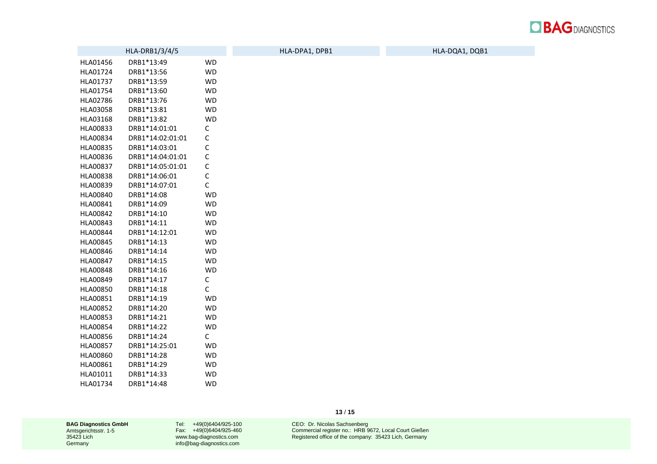

|                 | HLA-DRB1/3/4/5   |             | HLA-DPA1, DPB1 | HLA-DQA1, DQB1 |
|-----------------|------------------|-------------|----------------|----------------|
| HLA01456        | DRB1*13:49       | <b>WD</b>   |                |                |
| HLA01724        | DRB1*13:56       | <b>WD</b>   |                |                |
| HLA01737        | DRB1*13:59       | <b>WD</b>   |                |                |
| HLA01754        | DRB1*13:60       | <b>WD</b>   |                |                |
| HLA02786        | DRB1*13:76       | <b>WD</b>   |                |                |
| HLA03058        | DRB1*13:81       | <b>WD</b>   |                |                |
| HLA03168        | DRB1*13:82       | <b>WD</b>   |                |                |
| HLA00833        | DRB1*14:01:01    | C           |                |                |
| HLA00834        | DRB1*14:02:01:01 | $\mathsf C$ |                |                |
| HLA00835        | DRB1*14:03:01    | C           |                |                |
| HLA00836        | DRB1*14:04:01:01 | $\mathsf C$ |                |                |
| HLA00837        | DRB1*14:05:01:01 | $\mathsf C$ |                |                |
| HLA00838        | DRB1*14:06:01    | $\mathsf C$ |                |                |
| HLA00839        | DRB1*14:07:01    | $\mathsf C$ |                |                |
| HLA00840        | DRB1*14:08       | <b>WD</b>   |                |                |
| HLA00841        | DRB1*14:09       | <b>WD</b>   |                |                |
| HLA00842        | DRB1*14:10       | <b>WD</b>   |                |                |
| HLA00843        | DRB1*14:11       | <b>WD</b>   |                |                |
| HLA00844        | DRB1*14:12:01    | <b>WD</b>   |                |                |
| HLA00845        | DRB1*14:13       | <b>WD</b>   |                |                |
| HLA00846        | DRB1*14:14       | <b>WD</b>   |                |                |
| HLA00847        | DRB1*14:15       | <b>WD</b>   |                |                |
| HLA00848        | DRB1*14:16       | <b>WD</b>   |                |                |
| HLA00849        | DRB1*14:17       | C           |                |                |
| HLA00850        | DRB1*14:18       | С           |                |                |
| HLA00851        | DRB1*14:19       | <b>WD</b>   |                |                |
| HLA00852        | DRB1*14:20       | <b>WD</b>   |                |                |
| HLA00853        | DRB1*14:21       | <b>WD</b>   |                |                |
| HLA00854        | DRB1*14:22       | <b>WD</b>   |                |                |
| <b>HLA00856</b> | DRB1*14:24       | C           |                |                |
| HLA00857        | DRB1*14:25:01    | <b>WD</b>   |                |                |
| HLA00860        | DRB1*14:28       | <b>WD</b>   |                |                |
| HLA00861        | DRB1*14:29       | <b>WD</b>   |                |                |
| HLA01011        | DRB1*14:33       | <b>WD</b>   |                |                |
| HLA01734        | DRB1*14:48       | <b>WD</b>   |                |                |

Tel: +49(0)6404/925-100 Fax: +49(0)6404/925-460 [www.bag-diagnostics.com](http://www.bag-diagnostics.com/) [info@bag-diagnostics.com](mailto:info@bag-diagnostics.com)

CEO: Dr. Nicolas Sachsenberg Commercial register no.: HRB 9672, Local Court Gießen Registered office of the company: 35423 Lich, Germany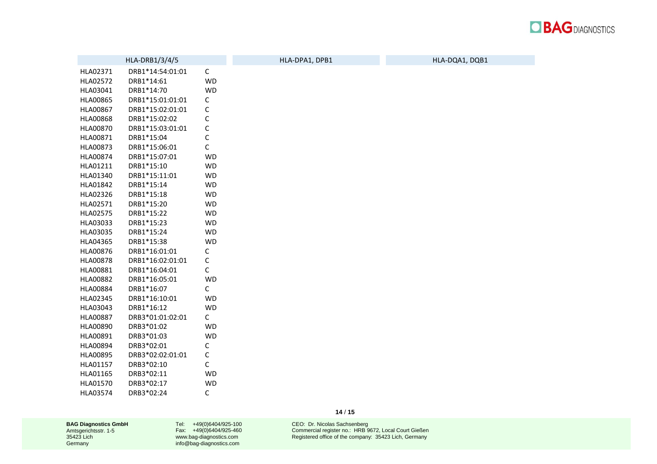

|                 | HLA-DRB1/3/4/5   |              | HLA-DPA1, DPB1 | HLA-DQA1, DQB1 |
|-----------------|------------------|--------------|----------------|----------------|
| HLA02371        | DRB1*14:54:01:01 | $\mathsf{C}$ |                |                |
| HLA02572        | DRB1*14:61       | <b>WD</b>    |                |                |
| HLA03041        | DRB1*14:70       | <b>WD</b>    |                |                |
| <b>HLA00865</b> | DRB1*15:01:01:01 | С            |                |                |
| HLA00867        | DRB1*15:02:01:01 | C            |                |                |
| HLA00868        | DRB1*15:02:02    | $\mathsf C$  |                |                |
| HLA00870        | DRB1*15:03:01:01 | $\mathsf C$  |                |                |
| HLA00871        | DRB1*15:04       | $\mathsf C$  |                |                |
| HLA00873        | DRB1*15:06:01    | $\mathsf C$  |                |                |
| HLA00874        | DRB1*15:07:01    | <b>WD</b>    |                |                |
| HLA01211        | DRB1*15:10       | <b>WD</b>    |                |                |
| HLA01340        | DRB1*15:11:01    | <b>WD</b>    |                |                |
| HLA01842        | DRB1*15:14       | <b>WD</b>    |                |                |
| HLA02326        | DRB1*15:18       | WD           |                |                |
| HLA02571        | DRB1*15:20       | WD           |                |                |
| HLA02575        | DRB1*15:22       | <b>WD</b>    |                |                |
| HLA03033        | DRB1*15:23       | <b>WD</b>    |                |                |
| HLA03035        | DRB1*15:24       | <b>WD</b>    |                |                |
| HLA04365        | DRB1*15:38       | WD           |                |                |
| HLA00876        | DRB1*16:01:01    | С            |                |                |
| <b>HLA00878</b> | DRB1*16:02:01:01 | С            |                |                |
| HLA00881        | DRB1*16:04:01    | $\mathsf C$  |                |                |
| HLA00882        | DRB1*16:05:01    | <b>WD</b>    |                |                |
| HLA00884        | DRB1*16:07       | $\mathsf{C}$ |                |                |
| HLA02345        | DRB1*16:10:01    | WD           |                |                |
| HLA03043        | DRB1*16:12       | <b>WD</b>    |                |                |
| HLA00887        | DRB3*01:01:02:01 | $\mathsf{C}$ |                |                |
| HLA00890        | DRB3*01:02       | <b>WD</b>    |                |                |
| HLA00891        | DRB3*01:03       | WD           |                |                |
| HLA00894        | DRB3*02:01       | С            |                |                |
| HLA00895        | DRB3*02:02:01:01 | $\mathsf C$  |                |                |
| HLA01157        | DRB3*02:10       | $\mathsf C$  |                |                |
| HLA01165        | DRB3*02:11       | <b>WD</b>    |                |                |
| HLA01570        | DRB3*02:17       | WD           |                |                |
| HLA03574        | DRB3*02:24       | С            |                |                |

Tel: +49(0)6404/925-100 Fax: +49(0)6404/925-460 [www.bag-diagnostics.com](http://www.bag-diagnostics.com/) [info@bag-diagnostics.com](mailto:info@bag-diagnostics.com)

**14** / **15**